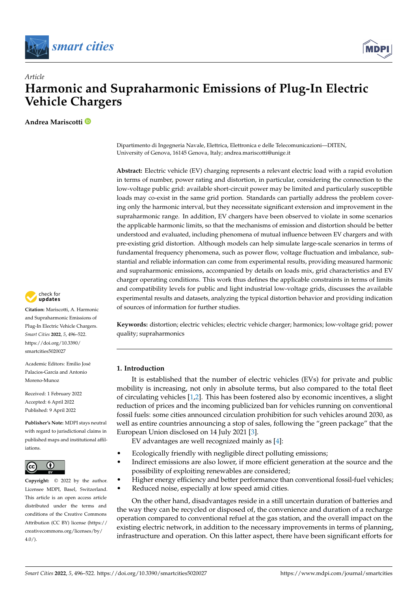



# *Article* **Harmonic and Supraharmonic Emissions of Plug-In Electric Vehicle Chargers**

**Andrea Mariscotti**



**Citation:** Mariscotti, A. Harmonic and Supraharmonic Emissions of Plug-In Electric Vehicle Chargers. *Smart Cities* **2022**, *5*, 496–522. [https://doi.org/10.3390/](https://doi.org/10.3390/smartcities5020027) [smartcities5020027](https://doi.org/10.3390/smartcities5020027)

Academic Editors: Emilio José Palacios-García and Antonio Moreno-Munoz

Received: 1 February 2022 Accepted: 6 April 2022 Published: 9 April 2022

**Publisher's Note:** MDPI stays neutral with regard to jurisdictional claims in published maps and institutional affiliations.



**Copyright:** © 2022 by the author. Licensee MDPI, Basel, Switzerland. This article is an open access article distributed under the terms and conditions of the Creative Commons Attribution (CC BY) license [\(https://](https://creativecommons.org/licenses/by/4.0/) [creativecommons.org/licenses/by/](https://creativecommons.org/licenses/by/4.0/) **Example 18 (1997)**<br> **Example 18 (1997)**<br> **Example 2.0** (1997)<br> **Example 2.0** (1997)<br> **Example 2.0** (1997)<br> **Example 2.0** (1998)<br> **Example 2.0** (1998)<br> **Example 2.0** (1998)<br> **Example 2.0** (1999)<br> **Example 2.0** (1999)<br> **Exa** 

Dipartimento di Ingegneria Navale, Elettrica, Elettronica e delle Telecomunicazioni—DITEN, University of Genova, 16145 Genova, Italy; andrea.mariscotti@unige.it

**Abstract:** Electric vehicle (EV) charging represents a relevant electric load with a rapid evolution in terms of number, power rating and distortion, in particular, considering the connection to the low-voltage public grid: available short-circuit power may be limited and particularly susceptible loads may co-exist in the same grid portion. Standards can partially address the problem covering only the harmonic interval, but they necessitate significant extension and improvement in the supraharmonic range. In addition, EV chargers have been observed to violate in some scenarios the applicable harmonic limits, so that the mechanisms of emission and distortion should be better understood and evaluated, including phenomena of mutual influence between EV chargers and with pre-existing grid distortion. Although models can help simulate large-scale scenarios in terms of fundamental frequency phenomena, such as power flow, voltage fluctuation and imbalance, substantial and reliable information can come from experimental results, providing measured harmonic and supraharmonic emissions, accompanied by details on loads mix, grid characteristics and EV charger operating conditions. This work thus defines the applicable constraints in terms of limits and compatibility levels for public and light industrial low-voltage grids, discusses the available experimental results and datasets, analyzing the typical distortion behavior and providing indication of sources of information for further studies.

**Keywords:** distortion; electric vehicles; electric vehicle charger; harmonics; low-voltage grid; power quality; supraharmonics

## **1. Introduction**

It is established that the number of electric vehicles (EVs) for private and public mobility is increasing, not only in absolute terms, but also compared to the total fleet of circulating vehicles [\[1,](#page-22-0)[2\]](#page-22-1). This has been fostered also by economic incentives, a slight reduction of prices and the incoming publicized ban for vehicles running on conventional fossil fuels: some cities announced circulation prohibition for such vehicles around 2030, as well as entire countries announcing a stop of sales, following the "green package" that the European Union disclosed on 14 July 2021 [\[3\]](#page-22-2).

EV advantages are well recognized mainly as [\[4\]](#page-22-3):

- Ecologically friendly with negligible direct polluting emissions;
- Indirect emissions are also lower, if more efficient generation at the source and the possibility of exploiting renewables are considered;
- Higher energy efficiency and better performance than conventional fossil-fuel vehicles;
- Reduced noise, especially at low speed amid cities.

On the other hand, disadvantages reside in a still uncertain duration of batteries and the way they can be recycled or disposed of, the convenience and duration of a recharge operation compared to conventional refuel at the gas station, and the overall impact on the existing electric network, in addition to the necessary improvements in terms of planning, infrastructure and operation. On this latter aspect, there have been significant efforts for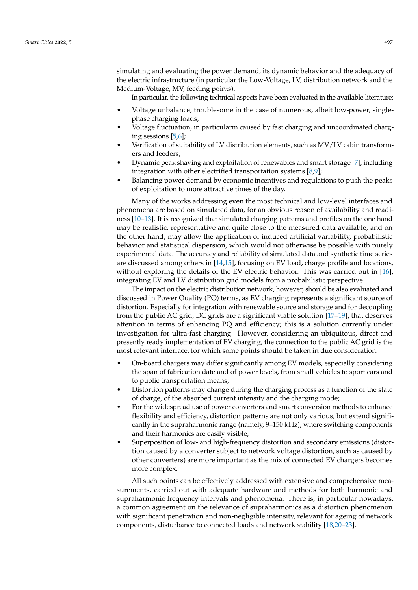simulating and evaluating the power demand, its dynamic behavior and the adequacy of the electric infrastructure (in particular the Low-Voltage, LV, distribution network and the Medium-Voltage, MV, feeding points).

In particular, the following technical aspects have been evaluated in the available literature:

- Voltage unbalance, troublesome in the case of numerous, albeit low-power, singlephase charging loads;
- Voltage fluctuation, in particularm caused by fast charging and uncoordinated charging sessions [\[5](#page-22-4)[,6\]](#page-22-5);
- Verification of suitability of LV distribution elements, such as MV/LV cabin transformers and feeders;
- Dynamic peak shaving and exploitation of renewables and smart storage [\[7\]](#page-22-6), including integration with other electrified transportation systems [\[8](#page-22-7)[,9\]](#page-23-0);
- Balancing power demand by economic incentives and regulations to push the peaks of exploitation to more attractive times of the day.

Many of the works addressing even the most technical and low-level interfaces and phenomena are based on simulated data, for an obvious reason of availability and readiness [\[10–](#page-23-1)[13\]](#page-23-2). It is recognized that simulated charging patterns and profiles on the one hand may be realistic, representative and quite close to the measured data available, and on the other hand, may allow the application of induced artificial variability, probabilistic behavior and statistical dispersion, which would not otherwise be possible with purely experimental data. The accuracy and reliability of simulated data and synthetic time series are discussed among others in [\[14,](#page-23-3)[15\]](#page-23-4), focusing on EV load, charge profile and locations, without exploring the details of the EV electric behavior. This was carried out in [\[16\]](#page-23-5), integrating EV and LV distribution grid models from a probabilistic perspective.

The impact on the electric distribution network, however, should be also evaluated and discussed in Power Quality (PQ) terms, as EV charging represents a significant source of distortion. Especially for integration with renewable source and storage and for decoupling from the public AC grid, DC grids are a significant viable solution [\[17–](#page-23-6)[19\]](#page-23-7), that deserves attention in terms of enhancing PQ and efficiency; this is a solution currently under investigation for ultra-fast charging. However, considering an ubiquitous, direct and presently ready implementation of EV charging, the connection to the public AC grid is the most relevant interface, for which some points should be taken in due consideration:

- On-board chargers may differ significantly among EV models, especially considering the span of fabrication date and of power levels, from small vehicles to sport cars and to public transportation means;
- Distortion patterns may change during the charging process as a function of the state of charge, of the absorbed current intensity and the charging mode;
- For the widespread use of power converters and smart conversion methods to enhance flexibility and efficiency, distortion patterns are not only various, but extend significantly in the supraharmonic range (namely, 9–150 kHz), where switching components and their harmonics are easily visible;
- Superposition of low- and high-frequency distortion and secondary emissions (distortion caused by a converter subject to network voltage distortion, such as caused by other converters) are more important as the mix of connected EV chargers becomes more complex.

All such points can be effectively addressed with extensive and comprehensive measurements, carried out with adequate hardware and methods for both harmonic and supraharmonic frequency intervals and phenomena. There is, in particular nowadays, a common agreement on the relevance of supraharmonics as a distortion phenomenon with significant penetration and non-negligible intensity, relevant for ageing of network components, disturbance to connected loads and network stability [\[18](#page-23-8)[,20–](#page-23-9)[23\]](#page-23-10).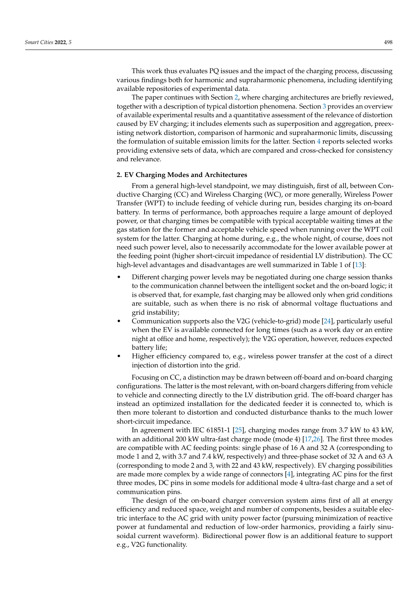This work thus evaluates PQ issues and the impact of the charging process, discussing various findings both for harmonic and supraharmonic phenomena, including identifying available repositories of experimental data.

The paper continues with Section [2,](#page-2-0) where charging architectures are briefly reviewed, together with a description of typical distortion phenomena. Section [3](#page-5-0) provides an overview of available experimental results and a quantitative assessment of the relevance of distortion caused by EV charging; it includes elements such as superposition and aggregation, preexisting network distortion, comparison of harmonic and supraharmonic limits, discussing the formulation of suitable emission limits for the latter. Section [4](#page-18-0) reports selected works providing extensive sets of data, which are compared and cross-checked for consistency and relevance.

### <span id="page-2-0"></span>**2. EV Charging Modes and Architectures**

From a general high-level standpoint, we may distinguish, first of all, between Conductive Charging (CC) and Wireless Charging (WC), or more generally, Wireless Power Transfer (WPT) to include feeding of vehicle during run, besides charging its on-board battery. In terms of performance, both approaches require a large amount of deployed power, or that charging times be compatible with typical acceptable waiting times at the gas station for the former and acceptable vehicle speed when running over the WPT coil system for the latter. Charging at home during, e.g., the whole night, of course, does not need such power level, also to necessarily accommodate for the lower available power at the feeding point (higher short-circuit impedance of residential LV distribution). The CC high-level advantages and disadvantages are well summarized in Table 1 of [\[13\]](#page-23-2):

- Different charging power levels may be negotiated during one charge session thanks to the communication channel between the intelligent socket and the on-board logic; it is observed that, for example, fast charging may be allowed only when grid conditions are suitable, such as when there is no risk of abnormal voltage fluctuations and grid instability;
- Communication supports also the V2G (vehicle-to-grid) mode [\[24\]](#page-23-11), particularly useful when the EV is available connected for long times (such as a work day or an entire night at office and home, respectively); the V2G operation, however, reduces expected battery life;
- Higher efficiency compared to, e.g., wireless power transfer at the cost of a direct injection of distortion into the grid.

Focusing on CC, a distinction may be drawn between off-board and on-board charging configurations. The latter is the most relevant, with on-board chargers differing from vehicle to vehicle and connecting directly to the LV distribution grid. The off-board charger has instead an optimized installation for the dedicated feeder it is connected to, which is then more tolerant to distortion and conducted disturbance thanks to the much lower short-circuit impedance.

In agreement with IEC 61851-1 [\[25\]](#page-23-12), charging modes range from 3.7 kW to 43 kW, with an additional 200 kW ultra-fast charge mode (mode 4) [\[17](#page-23-6)[,26\]](#page-23-13). The first three modes are compatible with AC feeding points: single phase of 16 A and 32 A (corresponding to mode 1 and 2, with 3.7 and 7.4 kW, respectively) and three-phase socket of 32 A and 63 A (corresponding to mode 2 and 3, with 22 and 43 kW, respectively). EV charging possibilities are made more complex by a wide range of connectors [\[4\]](#page-22-3), integrating AC pins for the first three modes, DC pins in some models for additional mode 4 ultra-fast charge and a set of communication pins.

The design of the on-board charger conversion system aims first of all at energy efficiency and reduced space, weight and number of components, besides a suitable electric interface to the AC grid with unity power factor (pursuing minimization of reactive power at fundamental and reduction of low-order harmonics, providing a fairly sinusoidal current waveform). Bidirectional power flow is an additional feature to support e.g., V2G functionality.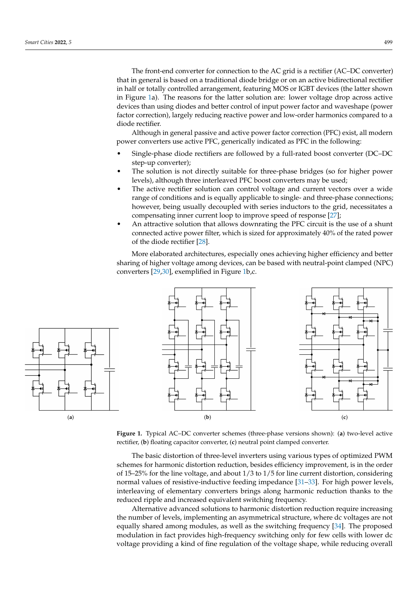The front-end converter for connection to the AC grid is a rectifier (AC–DC converter) that in general is based on a traditional diode bridge or on an active bidirectional rectifier in half or totally controlled arrangement, featuring MOS or IGBT devices (the latter shown in Figure [1a](#page-3-0)). The reasons for the latter solution are: lower voltage drop across active devices than using diodes and better control of input power factor and waveshape (power factor correction), largely reducing reactive power and low-order harmonics compared to a diode rectifier.

Although in general passive and active power factor correction (PFC) exist, all modern power converters use active PFC, generically indicated as PFC in the following:

- Single-phase diode rectifiers are followed by a full-rated boost converter (DC–DC step-up converter);
- The solution is not directly suitable for three-phase bridges (so for higher power levels), although three interleaved PFC boost converters may be used;
- The active rectifier solution can control voltage and current vectors over a wide range of conditions and is equally applicable to single- and three-phase connections; however, being usually decoupled with series inductors to the grid, necessitates a compensating inner current loop to improve speed of response [\[27\]](#page-23-14);
- An attractive solution that allows downrating the PFC circuit is the use of a shunt connected active power filter, which is sized for approximately 40% of the rated power of the diode rectifier [\[28\]](#page-23-15).

<span id="page-3-0"></span>More elaborated architectures, especially ones achieving higher efficiency and better sharing of higher voltage among devices, can be based with neutral-point clamped (NPC) converters [\[29](#page-23-16)[,30\]](#page-23-17), exemplified in Figure [1b](#page-3-0),c.





**Figure 1.** Typical AC–DC converter schemes (three-phase versions shown): (**a**) two-level active rectifier, (**b**) floating capacitor converter, (**c**) neutral point clamped converter.

The basic distortion of three-level inverters using various types of optimized PWM schemes for harmonic distortion reduction, besides efficiency improvement, is in the order of 15–25% for the line voltage, and about 1/3 to 1/5 for line current distortion, considering normal values of resistive-inductive feeding impedance [\[31–](#page-23-18)[33\]](#page-23-19). For high power levels, interleaving of elementary converters brings along harmonic reduction thanks to the reduced ripple and increased equivalent switching frequency.

Alternative advanced solutions to harmonic distortion reduction require increasing the number of levels, implementing an asymmetrical structure, where dc voltages are not equally shared among modules, as well as the switching frequency [\[34\]](#page-23-20). The proposed modulation in fact provides high-frequency switching only for few cells with lower dc voltage providing a kind of fine regulation of the voltage shape, while reducing overall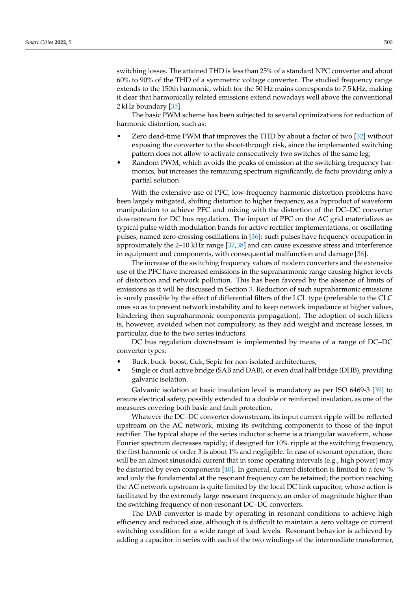switching losses. The attained THD is less than 25% of a standard NPC converter and about 60% to 90% of the THD of a symmetric voltage converter. The studied frequency range extends to the 150th harmonic, which for the 50 Hz mains corresponds to 7.5 kHz, making it clear that harmonically related emissions extend nowadays well above the conventional 2 kHz boundary [\[35\]](#page-24-0).

The basic PWM scheme has been subjected to several optimizations for reduction of harmonic distortion, such as:

- Zero dead-time PWM that improves the THD by about a factor of two [\[32\]](#page-23-21) without exposing the converter to the shoot-through risk, since the implemented switching pattern does not allow to activate consecutively two switches of the same leg;
- Random PWM, which avoids the peaks of emission at the switching frequency harmonics, but increases the remaining spectrum significantly, de facto providing only a partial solution.

With the extensive use of PFC, low-frequency harmonic distortion problems have been largely mitigated, shifting distortion to higher frequency, as a byproduct of waveform manipulation to achieve PFC and mixing with the distortion of the DC–DC converter downstream for DC bus regulation. The impact of PFC on the AC grid materializes as typical pulse width modulation bands for active rectifier implementations, or oscillating pulses, named zero-crossing oscillations in [\[36\]](#page-24-1): such pulses have frequency occupation in approximately the 2–10 kHz range [\[37,](#page-24-2)[38\]](#page-24-3) and can cause excessive stress and interference in equipment and components, with consequential malfunction and damage [\[36\]](#page-24-1).

The increase of the switching frequency values of modern converters and the extensive use of the PFC have increased emissions in the supraharmonic range causing higher levels of distortion and network pollution. This has been favored by the absence of limits of emissions as it will be discussed in Section [3.](#page-5-0) Reduction of such supraharmonic emissions is surely possible by the effect of differential filters of the LCL type (preferable to the CLC ones so as to prevent network instability and to keep network impedance at higher values, hindering then supraharmonic components propagation). The adoption of such filters is, however, avoided when not compulsory, as they add weight and increase losses, in particular, due to the two series inductors.

DC bus regulation downstream is implemented by means of a range of DC–DC converter types:

- Buck, buck–boost, Cuk, Sepic for non-isolated architectures;
- Single or dual active bridge (SAB and DAB), or even dual half bridge (DHB), providing galvanic isolation.

Galvanic isolation at basic insulation level is mandatory as per ISO 6469-3 [\[39\]](#page-24-4) to ensure electrical safety, possibly extended to a double or reinforced insulation, as one of the measures covering both basic and fault protection.

Whatever the DC–DC converter downstream, its input current ripple will be reflected upstream on the AC network, mixing its switching components to those of the input rectifier. The typical shape of the series inductor scheme is a triangular waveform, whose Fourier spectrum decreases rapidly; if designed for 10% ripple at the switching frequency, the first harmonic of order 3 is about 1% and negligible. In case of resonant operation, there will be an almost sinusoidal current that in some operating intervals (e.g., high power) may be distorted by even components [\[40\]](#page-24-5). In general, current distortion is limited to a few % and only the fundamental at the resonant frequency can be retained; the portion reaching the AC network upstream is quite limited by the local DC link capacitor, whose action is facilitated by the extremely large resonant frequency, an order of magnitude higher than the switching frequency of non-resonant DC–DC converters.

The DAB converter is made by operating in resonant conditions to achieve high efficiency and reduced size, although it is difficult to maintain a zero voltage or current switching condition for a wide range of load levels. Resonant behavior is achieved by adding a capacitor in series with each of the two windings of the intermediate transformer,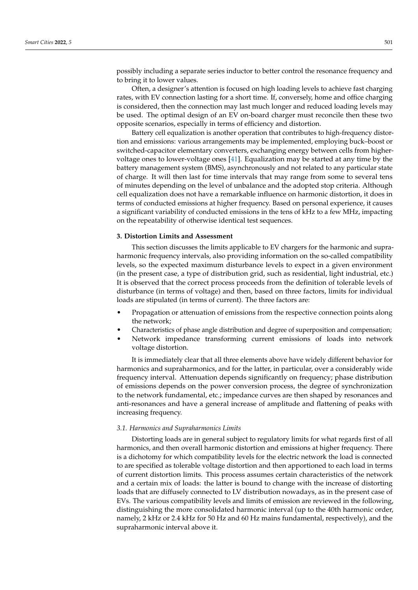possibly including a separate series inductor to better control the resonance frequency and to bring it to lower values.

Often, a designer's attention is focused on high loading levels to achieve fast charging rates, with EV connection lasting for a short time. If, conversely, home and office charging is considered, then the connection may last much longer and reduced loading levels may be used. The optimal design of an EV on-board charger must reconcile then these two opposite scenarios, especially in terms of efficiency and distortion.

Battery cell equalization is another operation that contributes to high-frequency distortion and emissions: various arrangements may be implemented, employing buck–boost or switched-capacitor elementary converters, exchanging energy between cells from highervoltage ones to lower-voltage ones [\[41\]](#page-24-6). Equalization may be started at any time by the battery management system (BMS), asynchronously and not related to any particular state of charge. It will then last for time intervals that may range from some to several tens of minutes depending on the level of unbalance and the adopted stop criteria. Although cell equalization does not have a remarkable influence on harmonic distortion, it does in terms of conducted emissions at higher frequency. Based on personal experience, it causes a significant variability of conducted emissions in the tens of kHz to a few MHz, impacting on the repeatability of otherwise identical test sequences.

#### <span id="page-5-0"></span>**3. Distortion Limits and Assessment**

This section discusses the limits applicable to EV chargers for the harmonic and supraharmonic frequency intervals, also providing information on the so-called compatibility levels, so the expected maximum disturbance levels to expect in a given environment (in the present case, a type of distribution grid, such as residential, light industrial, etc.) It is observed that the correct process proceeds from the definition of tolerable levels of disturbance (in terms of voltage) and then, based on three factors, limits for individual loads are stipulated (in terms of current). The three factors are:

- Propagation or attenuation of emissions from the respective connection points along the network;
- Characteristics of phase angle distribution and degree of superposition and compensation;
- Network impedance transforming current emissions of loads into network voltage distortion.

It is immediately clear that all three elements above have widely different behavior for harmonics and supraharmonics, and for the latter, in particular, over a considerably wide frequency interval. Attenuation depends significantly on frequency; phase distribution of emissions depends on the power conversion process, the degree of synchronization to the network fundamental, etc.; impedance curves are then shaped by resonances and anti-resonances and have a general increase of amplitude and flattening of peaks with increasing frequency.

## *3.1. Harmonics and Supraharmonics Limits*

Distorting loads are in general subject to regulatory limits for what regards first of all harmonics, and then overall harmonic distortion and emissions at higher frequency. There is a dichotomy for which compatibility levels for the electric network the load is connected to are specified as tolerable voltage distortion and then apportioned to each load in terms of current distortion limits. This process assumes certain characteristics of the network and a certain mix of loads: the latter is bound to change with the increase of distorting loads that are diffusely connected to LV distribution nowadays, as in the present case of EVs. The various compatibility levels and limits of emission are reviewed in the following, distinguishing the more consolidated harmonic interval (up to the 40th harmonic order, namely, 2 kHz or 2.4 kHz for 50 Hz and 60 Hz mains fundamental, respectively), and the supraharmonic interval above it.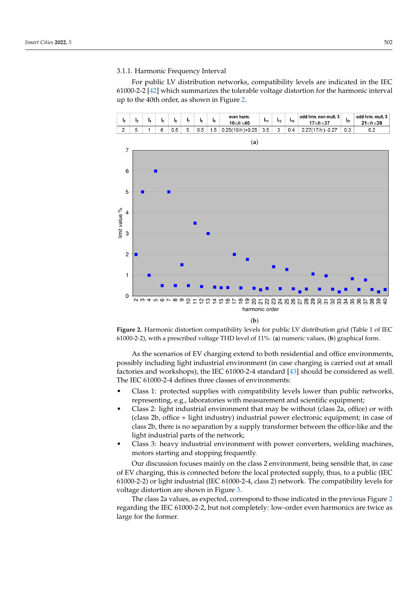#### <span id="page-6-1"></span>3.1.1. Harmonic Frequency Interval

For public LV distribution networks, compatibility levels are indicated in the IEC 61000-2-2 [\[42\]](#page-24-7) which summarizes the tolerable voltage distortion for the harmonic interval up to the 40th order, as shown in Figure [2.](#page-6-0)

<span id="page-6-0"></span>

**Figure 2.** Harmonic distortion compatibility levels for public LV distribution grid (Table 1 of IEC 61000-2-2), with a prescribed voltage THD level of 11%: (**a**) numeric values, (**b**) graphical form.

As the scenarios of EV charging extend to both residential and office environments, possibly including light industrial environment (in case charging is carried out at small factories and workshops), the IEC 61000-2-4 standard [\[43\]](#page-24-8) should be considered as well. The IEC 61000-2-4 defines three classes of environments:

- Class 1: protected supplies with compatibility levels lower than public networks, representing, e.g., laboratories with measurement and scientific equipment;
- Class 2: light industrial environment that may be without (class 2a, office) or with (class 2b, office + light industry) industrial power electronic equipment; in case of class 2b, there is no separation by a supply transformer between the office-like and the light industrial parts of the network;
- Class 3: heavy industrial environment with power converters, welding machines, motors starting and stopping frequently.

Our discussion focuses mainly on the class 2 environment, being sensible that, in case of EV charging, this is connected before the local protected supply, thus, to a public (IEC 61000-2-2) or light industrial (IEC 61000-2-4, class 2) network. The compatibility levels for voltage distortion are shown in Figure [3.](#page-7-0)

The class 2a values, as expected, correspond to those indicated in the previous Figure [2](#page-6-0) regarding the IEC 61000-2-2, but not completely: low-order even harmonics are twice as large for the former.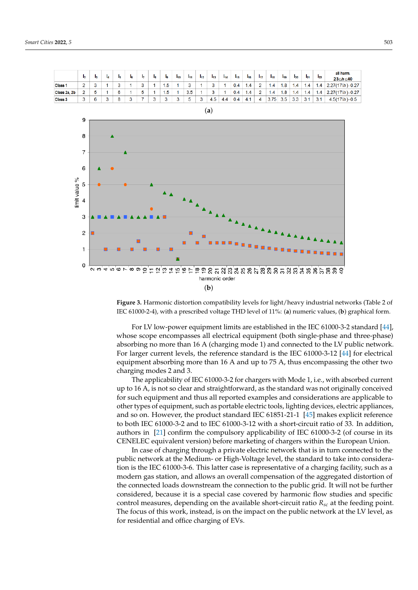<span id="page-7-0"></span>

**Figure 3.** Harmonic distortion compatibility levels for light/heavy industrial networks (Table 2 of IEC 61000-2-4), with a prescribed voltage THD level of 11%: (**a**) numeric values, (**b**) graphical form.

For LV low-power equipment limits are established in the IEC 61000-3-2 standard [\[44\]](#page-24-9), whose scope encompasses all electrical equipment (both single-phase and three-phase) absorbing no more than 16 A (charging mode 1) and connected to the LV public network. For larger current levels, the reference standard is the IEC 61000-3-12 [\[44\]](#page-24-9) for electrical equipment absorbing more than 16 A and up to 75 A, thus encompassing the other two charging modes 2 and 3.

The applicability of IEC 61000-3-2 for chargers with Mode 1, i.e., with absorbed current up to 16 A, is not so clear and straightforward, as the standard was not originally conceived for such equipment and thus all reported examples and considerations are applicable to other types of equipment, such as portable electric tools, lighting devices, electric appliances, and so on. However, the product standard IEC 61851-21-1 [\[45\]](#page-24-10) makes explicit reference to both IEC 61000-3-2 and to IEC 61000-3-12 with a short-circuit ratio of 33. In addition, authors in [\[21\]](#page-23-22) confirm the compulsory applicability of IEC 61000-3-2 (of course in its CENELEC equivalent version) before marketing of chargers within the European Union.

In case of charging through a private electric network that is in turn connected to the public network at the Medium- or High-Voltage level, the standard to take into consideration is the IEC 61000-3-6. This latter case is representative of a charging facility, such as a modern gas station, and allows an overall compensation of the aggregated distortion of the connected loads downstream the connection to the public grid. It will not be further considered, because it is a special case covered by harmonic flow studies and specific control measures, depending on the available short-circuit ratio *Rsc* at the feeding point. The focus of this work, instead, is on the impact on the public network at the LV level, as for residential and office charging of EVs.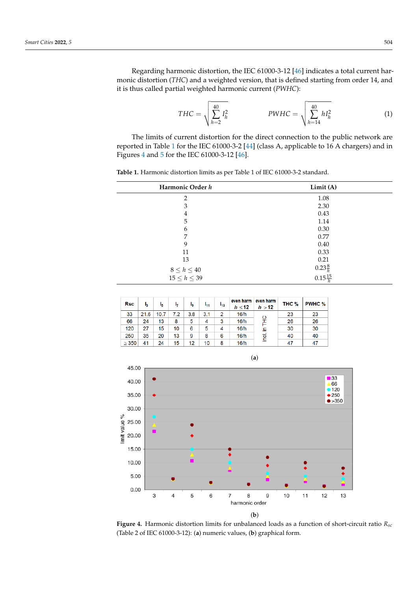÷

Regarding harmonic distortion, the IEC 61000-3-12 [\[46\]](#page-24-11) indicates a total current harmonic distortion (*THC*) and a weighted version, that is defined starting from order 14, and it is thus called partial weighted harmonic current (*PWHC*):

<span id="page-8-2"></span>
$$
THC = \sqrt{\sum_{h=2}^{40} I_h^2}
$$
 
$$
PWHC = \sqrt{\sum_{h=14}^{40} h I_h^2}
$$
 (1)

The limits of current distortion for the direct connection to the public network are reported in Table [1](#page-8-0) for the IEC 61000-3-2 [\[44\]](#page-24-9) (class A, applicable to 16 A chargers) and in Figures [4](#page-8-1) and [5](#page-9-0) for the IEC 61000-3-12 [\[46\]](#page-24-11).

<span id="page-8-0"></span>**Table 1.** Harmonic distortion limits as per Table 1 of IEC 61000-3-2 standard.

| Harmonic Order h                          | Limit (A)                               |  |
|-------------------------------------------|-----------------------------------------|--|
| $\overline{2}$                            | 1.08                                    |  |
| 3                                         | 2.30                                    |  |
| 4                                         | 0.43                                    |  |
| 5                                         | 1.14                                    |  |
| 6                                         | $0.30\,$                                |  |
| 7                                         | 0.77                                    |  |
| 9                                         | 0.40                                    |  |
| 11                                        | 0.33                                    |  |
| 13                                        | 0.21                                    |  |
|                                           | $0.23\frac{8}{h}$<br>$0.15\frac{15}{h}$ |  |
| $8 \leq h \leq 40$<br>$15 \leq h \leq 39$ |                                         |  |
|                                           |                                         |  |

<span id="page-8-1"></span>

| <b>Rsc</b> | I <sub>3</sub> | ı,   | 17  | l <sub>9</sub> | I <sub>11</sub> | $I_{13}$ | even harm<br>$h \leq 12$ | even harm<br>h > 12 | THC <sub>%</sub> | <b>PWHC %</b> |
|------------|----------------|------|-----|----------------|-----------------|----------|--------------------------|---------------------|------------------|---------------|
| 33         | 21.6           | 10.7 | 7.2 | 3.8            | 3.1             | 2        | 16/h                     | ပ                   | 23               | 23            |
| 66         | 24             | 13   | 8   | 5              | 4               | 3        | 16/h                     |                     | 26               | 26            |
| 120        | 27             | 15   | 10  | 6              | 5               | 4        | 16/h                     | 으.                  | 30               | 30            |
| 250        | 35             | 20   | 13  | 9              | 8               | 6        | 16/h                     | e                   | 40               | 40            |
| $\geq$ 350 | 41             | 24   | 15  | 12             | 10              | 8        | 16/h                     |                     | 47               | 47            |



**Figure 4.** Harmonic distortion limits for unbalanced loads as a function of short-circuit ratio *Rsc* (Table 2 of IEC 61000-3-12): (**a**) numeric values, (**b**) graphical form.

(**a**)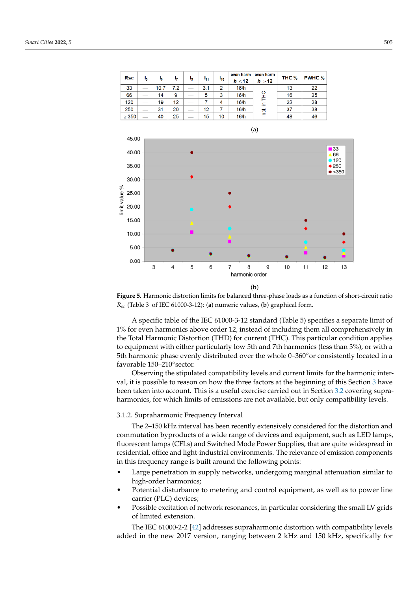<span id="page-9-0"></span>

**Figure 5.** Harmonic distortion limits for balanced three-phase loads as a function of short-circuit ratio *Rsc* (Table 3 of IEC 61000-3-12): (**a**) numeric values, (**b**) graphical form.

A specific table of the IEC 61000-3-12 standard (Table 5) specifies a separate limit of 1% for even harmonics above order 12, instead of including them all comprehensively in the Total Harmonic Distortion (THD) for current (THC). This particular condition applies to equipment with either particularly low 5th and 7th harmonics (less than 3%), or with a 5th harmonic phase evenly distributed over the whole 0–360° or consistently located in a favorable 150–210◦ sector.

Observing the stipulated compatibility levels and current limits for the harmonic interval, it is possible to reason on how the three factors at the beginning of this Section [3](#page-5-0) have been taken into account. This is a useful exercise carried out in Section [3.2](#page-11-0) covering supraharmonics, for which limits of emissions are not available, but only compatibility levels.

## 3.1.2. Supraharmonic Frequency Interval

The 2–150 kHz interval has been recently extensively considered for the distortion and commutation byproducts of a wide range of devices and equipment, such as LED lamps, fluorescent lamps (CFLs) and Switched Mode Power Supplies, that are quite widespread in residential, office and light-industrial environments. The relevance of emission components in this frequency range is built around the following points:

- Large penetration in supply networks, undergoing marginal attenuation similar to high-order harmonics;
- Potential disturbance to metering and control equipment, as well as to power line carrier (PLC) devices;
- Possible excitation of network resonances, in particular considering the small LV grids of limited extension.

The IEC 61000-2-2 [\[42\]](#page-24-7) addresses supraharmonic distortion with compatibility levels added in the new 2017 version, ranging between 2 kHz and 150 kHz, specifically for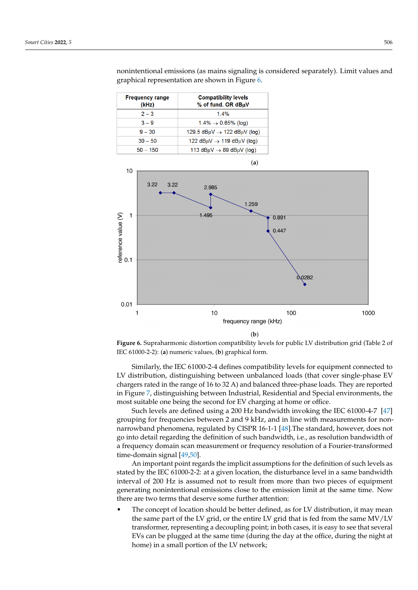<span id="page-10-0"></span>

| <b>Frequency range</b><br>(kHz) | <b>Compatibility levels</b><br>% of fund. OR dBuV |
|---------------------------------|---------------------------------------------------|
| $2 - 3$                         | $14\%$                                            |
| $3 - 9$                         | $1.4\% \rightarrow 0.65\%$ (log)                  |
| $9 - 30$                        | 129.5 $dB\mu V \rightarrow 122$ dB $\mu$ V (log)  |
| $30 - 50$                       | 122 dBµV $\rightarrow$ 119 dBµV (log)             |
| $50 - 150$                      | 113 dB $\mu$ V $\rightarrow$ 89 dB $\mu$ V (log)  |

nonintentional emissions (as mains signaling is considered separately). Limit values and graphical representation are shown in Figure [6.](#page-10-0)



**Figure 6.** Supraharmonic distortion compatibility levels for public LV distribution grid (Table 2 of IEC 61000-2-2): (**a**) numeric values, (**b**) graphical form.

Similarly, the IEC 61000-2-4 defines compatibility levels for equipment connected to LV distribution, distinguishing between unbalanced loads (that cover single-phase EV chargers rated in the range of 16 to 32 A) and balanced three-phase loads. They are reported in Figure [7,](#page-11-1) distinguishing between Industrial, Residential and Special environments, the most suitable one being the second for EV charging at home or office.

Such levels are defined using a 200 Hz bandwidth invoking the IEC 61000-4-7 [\[47\]](#page-24-12) grouping for frequencies between 2 and 9 kHz, and in line with measurements for nonnarrowband phenomena, regulated by CISPR 16-1-1 [\[48\]](#page-24-13).The standard, however, does not go into detail regarding the definition of such bandwidth, i.e., as resolution bandwidth of a frequency domain scan measurement or frequency resolution of a Fourier-transformed time-domain signal [\[49,](#page-24-14)[50\]](#page-24-15).

An important point regards the implicit assumptions for the definition of such levels as stated by the IEC 61000-2-2: at a given location, the disturbance level in a same bandwidth interval of 200 Hz is assumed not to result from more than two pieces of equipment generating nonintentional emissions close to the emission limit at the same time. Now there are two terms that deserve some further attention:

The concept of location should be better defined, as for LV distribution, it may mean the same part of the LV grid, or the entire LV grid that is fed from the same MV/LV transformer, representing a decoupling point; in both cases, it is easy to see that several EVs can be plugged at the same time (during the day at the office, during the night at home) in a small portion of the LV network;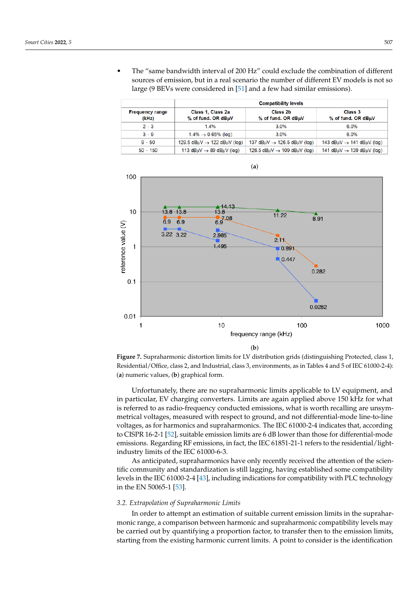• The "same bandwidth interval of 200 Hz" could exclude the combination of different sources of emission, but in a real scenario the number of different EV models is not so large (9 BEVs were considered in [\[51\]](#page-24-16) and a few had similar emissions).

<span id="page-11-1"></span>

|                                 | <b>Compatibility levels</b>                        |                                                     |                                                   |  |  |
|---------------------------------|----------------------------------------------------|-----------------------------------------------------|---------------------------------------------------|--|--|
| <b>Frequency range</b><br>(kHz) | Class 1, Class 2a<br>% of fund. OR dBµV            | Class 2b<br>% of fund. OR dBµV                      | Class 3<br>% of fund. OR dBuV                     |  |  |
| $2 - 3$                         | 1.4%                                               | 3.0%                                                | 6.0%                                              |  |  |
| $3 - 9$                         | $1.4\% \rightarrow 0.65\%$ (log)                   | 3.0%                                                | $6.0\%$                                           |  |  |
| $9 - 50$                        | 129.5 $dB_{\mu}V \rightarrow 122$ dB $\mu$ V (log) | 137 dB $\mu$ V $\rightarrow$ 126.5 dB $\mu$ V (log) | 143 dB $\mu$ V $\rightarrow$ 141 dB $\mu$ V (log) |  |  |
| $50 - 150$                      | 113 $dB\mu V \rightarrow 89$ dB $\mu$ V (log)      | 126.5 $dB\mu V \rightarrow 109$ dB $\mu$ V (log)    | 141 dB $\mu$ V $\rightarrow$ 139 dB $\mu$ V (log) |  |  |





Unfortunately, there are no supraharmonic limits applicable to LV equipment, and in particular, EV charging converters. Limits are again applied above 150 kHz for what is referred to as radio-frequency conducted emissions, what is worth recalling are unsymmetrical voltages, measured with respect to ground, and not differential-mode line-to-line voltages, as for harmonics and supraharmonics. The IEC 61000-2-4 indicates that, according to CISPR 16-2-1 [\[52\]](#page-24-17), suitable emission limits are 6 dB lower than those for differential-mode emissions. Regarding RF emissions, in fact, the IEC 61851-21-1 refers to the residential/lightindustry limits of the IEC 61000-6-3.

As anticipated, supraharmonics have only recently received the attention of the scientific community and standardization is still lagging, having established some compatibility levels in the IEC 61000-2-4 [\[43\]](#page-24-8), including indications for compatibility with PLC technology in the EN 50065-1 [\[53\]](#page-24-18).

## <span id="page-11-0"></span>*3.2. Extrapolation of Supraharmonic Limits*

In order to attempt an estimation of suitable current emission limits in the supraharmonic range, a comparison between harmonic and supraharmonic compatibility levels may be carried out by quantifying a proportion factor, to transfer then to the emission limits, starting from the existing harmonic current limits. A point to consider is the identification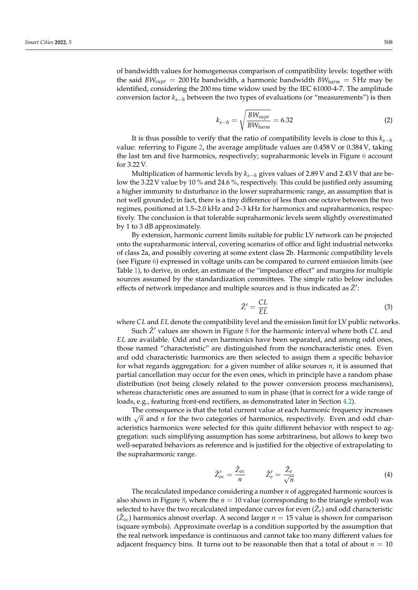of bandwidth values for homogeneous comparison of compatibility levels: together with the said *BWsupr* = 200 Hz bandwidth, a harmonic bandwidth *BWharm* = 5 Hz may be identified, considering the 200 ms time widow used by the IEC 61000-4-7. The amplitude conversion factor *ks*−*<sup>h</sup>* between the two types of evaluations (or "measurements") is then

$$
k_{s-h} = \sqrt{\frac{BW_{surr}}{BW_{harm}}} = 6.32
$$
 (2)

It is thus possible to verify that the ratio of compatibility levels is close to this  $k_{s-h}$ value: referring to Figure [2,](#page-6-0) the average amplitude values are 0.458 V or 0.384 V, taking the last ten and five harmonics, respectively; supraharmonic levels in Figure [6](#page-10-0) account for 3.22 V.

Multiplication of harmonic levels by *ks*−*<sup>h</sup>* gives values of 2.89 V and 2.43 V that are below the 3.22 V value by 10 % and 24.6 %, respectively. This could be justified only assuming a higher immunity to disturbance in the lower supraharmonic range, an assumption that is not well grounded; in fact, there is a tiny difference of less than one octave between the two regimes, positioned at 1.5–2.0 kHz and 2–3 kHz for harmonics and supraharmonics, respectively. The conclusion is that tolerable supraharmonic levels seem slightly overestimated by 1 to 3 dB approximately.

By extension, harmonic current limits suitable for public LV network can be projected onto the supraharmonic interval, covering scenarios of office and light industrial networks of class 2a, and possibly covering at some extent class 2b. Harmonic compatibility levels (see Figure [6\)](#page-10-0) expressed in voltage units can be compared to current emission limits (see Table [1\)](#page-8-0), to derive, in order, an estimate of the "impedance effect" and margins for multiple sources assumed by the standardization committees. The simple ratio below includes effects of network impedance and multiple sources and is thus indicated as  $\hat{Z}'$ :

$$
\hat{Z}' = \frac{CL}{EL} \tag{3}
$$

where *CL* and *EL* denote the compatibility level and the emission limit for LV public networks.

Such  $\hat{Z}'$  values are shown in Figure [8](#page-13-0) for the harmonic interval where both *CL* and *EL* are available. Odd and even harmonics have been separated, and among odd ones, those named "characteristic" are distinguished from the noncharacteristic ones. Even and odd characteristic harmonics are then selected to assign them a specific behavior for what regards aggregation: for a given number of alike sources *n*, it is assumed that partial cancellation may occur for the even ones, which in principle have a random phase distribution (not being closely related to the power conversion process mechanisms), whereas characteristic ones are assumed to sum in phase (that is correct for a wide range of loads, e.g., featuring front-end rectifiers, as demonstrated later in Section [4.2\)](#page-19-0).

The consequence is that the total current value at each harmonic frequency increases with  $\sqrt{n}$  and *n* for the two categories of harmonics, respectively. Even and odd characteristics harmonics were selected for this quite different behavior with respect to aggregation: such simplifying assumption has some arbitrariness, but allows to keep two well-separated behaviors as reference and is justified for the objective of extrapolating to the supraharmonic range.

$$
\hat{Z}_{oc}' = \frac{\hat{Z}_{oc}}{n} \qquad \hat{Z}_{e}' = \frac{\hat{Z}_{e}}{\sqrt{n}} \tag{4}
$$

The recalculated impedance considering a number *n* of aggregated harmonic sources is also shown in Figure [8,](#page-13-0) where the *n* = 10 value (corresponding to the triangle symbol) was selected to have the two recalculated impedance curves for even  $(\hat{Z}_e)$  and odd characteristic  $(\hat{Z}_{oc})$  harmonics almost overlap. A second larger  $n = 15$  value is shown for comparison (square symbols). Approximate overlap is a condition supported by the assumption that the real network impedance is continuous and cannot take too many different values for adjacent frequency bins. It turns out to be reasonable then that a total of about  $n = 10$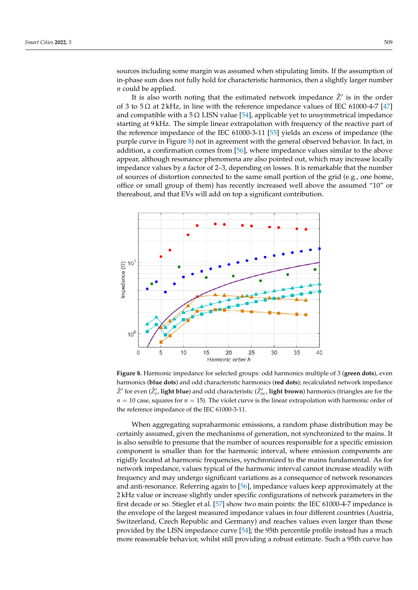sources including some margin was assumed when stipulating limits. If the assumption of in-phase sum does not fully hold for characteristic harmonics, then a slightly larger number *n* could be applied.

It is also worth noting that the estimated network impedance  $\hat{Z}'$  is in the order of 3 to  $5\Omega$  at 2 kHz, in line with the reference impedance values of IEC 61000-4-7 [\[47\]](#page-24-12) and compatible with a 5  $\Omega$  LISN value [\[54\]](#page-24-19), applicable yet to unsymmetrical impedance starting at 9 kHz. The simple linear extrapolation with frequency of the reactive part of the reference impedance of the IEC 61000-3-11 [\[55\]](#page-24-20) yields an excess of impedance (the purple curve in Figure [8\)](#page-13-0) not in agreement with the general observed behavior. In fact, in addition, a confirmation comes from [\[56\]](#page-24-21), where impedance values similar to the above appear, although resonance phenomena are also pointed out, which may increase locally impedance values by a factor of 2–3, depending on losses. It is remarkable that the number of sources of distortion connected to the same small portion of the grid (e.g., one home, office or small group of them) has recently increased well above the assumed "10" or thereabout, and that EVs will add on top a significant contribution.

<span id="page-13-0"></span>

**Figure 8.** Harmonic impedance for selected groups: odd harmonics multiple of 3 (**green dots**), even harmonics (**blue dots**) and odd characteristic harmonics (**red dots**); recalculated network impedance  $\hat{Z}'$  for even ( $\hat{Z}'_e$ , **light blue**) and odd characteristic ( $\hat{Z}'_{oc}$ , **light brown**) harmonics (triangles are for the  $n = 10$  case, squares for  $n = 15$ ). The violet curve is the linear extrapolation with harmonic order of the reference impedance of the IEC 61000-3-11.

When aggregating supraharmonic emissions, a random phase distribution may be certainly assumed, given the mechanisms of generation, not synchronized to the mains. It is also sensible to presume that the number of sources responsible for a specific emission component is smaller than for the harmonic interval, where emission components are rigidly located at harmonic frequencies, synchronized to the mains fundamental. As for network impedance, values typical of the harmonic interval cannot increase steadily with frequency and may undergo significant variations as a consequence of network resonances and anti-resonance. Referring again to [\[56\]](#page-24-21), impedance values keep approximately at the 2 kHz value or increase slightly under specific configurations of network parameters in the first decade or so. Stiegler et al. [\[57\]](#page-24-22) show two main points: the IEC 61000-4-7 impedance is the envelope of the largest measured impedance values in four different countries (Austria, Switzerland, Czech Republic and Germany) and reaches values even larger than those provided by the LISN impedance curve [\[54\]](#page-24-19); the 95th percentile profile instead has a much more reasonable behavior, whilst still providing a robust estimate. Such a 95th curve has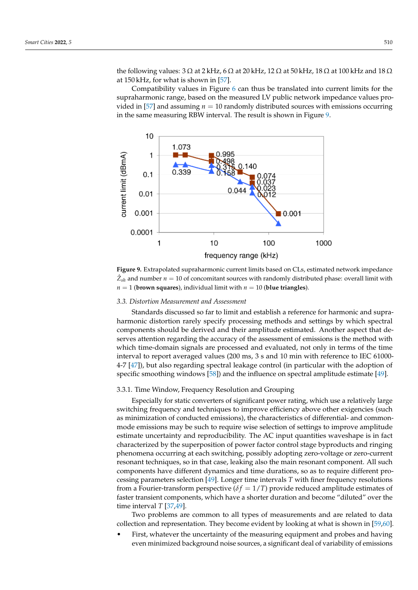the following values:  $3\Omega$  at  $2$  kHz,  $6\Omega$  at  $20$  kHz,  $12\Omega$  at  $50$  kHz,  $18\Omega$  at  $100$  kHz and  $18\Omega$ at 150 kHz, for what is shown in [\[57\]](#page-24-22).

Compatibility values in Figure [6](#page-10-0) can thus be translated into current limits for the supraharmonic range, based on the measured LV public network impedance values pro-vided in [\[57\]](#page-24-22) and assuming  $n = 10$  randomly distributed sources with emissions occurring in the same measuring RBW interval. The result is shown in Figure [9.](#page-14-0)

<span id="page-14-0"></span>

**Figure 9.** Extrapolated supraharmonic current limits based on CLs, estimated network impedance  $\hat{Z}_{sh}$  and number  $n = 10$  of concomitant sources with randomly distributed phase: overall limit with  $n = 1$  (**brown squares**), individual limit with  $n = 10$  (**blue triangles**).

## *3.3. Distortion Measurement and Assessment*

Standards discussed so far to limit and establish a reference for harmonic and supraharmonic distortion rarely specify processing methods and settings by which spectral components should be derived and their amplitude estimated. Another aspect that deserves attention regarding the accuracy of the assessment of emissions is the method with which time-domain signals are processed and evaluated, not only in terms of the time interval to report averaged values (200 ms, 3 s and 10 min with reference to IEC 61000- 4-7 [\[47\]](#page-24-12)), but also regarding spectral leakage control (in particular with the adoption of specific smoothing windows [\[58\]](#page-24-23)) and the influence on spectral amplitude estimate [\[49\]](#page-24-14).

#### 3.3.1. Time Window, Frequency Resolution and Grouping

Especially for static converters of significant power rating, which use a relatively large switching frequency and techniques to improve efficiency above other exigencies (such as minimization of conducted emissions), the characteristics of differential- and commonmode emissions may be such to require wise selection of settings to improve amplitude estimate uncertainty and reproducibility. The AC input quantities waveshape is in fact characterized by the superposition of power factor control stage byproducts and ringing phenomena occurring at each switching, possibly adopting zero-voltage or zero-current resonant techniques, so in that case, leaking also the main resonant component. All such components have different dynamics and time durations, so as to require different processing parameters selection [\[49\]](#page-24-14). Longer time intervals *T* with finer frequency resolutions from a Fourier-transform perspective ( $\delta f = 1/T$ ) provide reduced amplitude estimates of faster transient components, which have a shorter duration and become "diluted" over the time interval *T* [\[37,](#page-24-2)[49\]](#page-24-14).

Two problems are common to all types of measurements and are related to data collection and representation. They become evident by looking at what is shown in [\[59](#page-24-24)[,60\]](#page-24-25).

• First, whatever the uncertainty of the measuring equipment and probes and having even minimized background noise sources, a significant deal of variability of emissions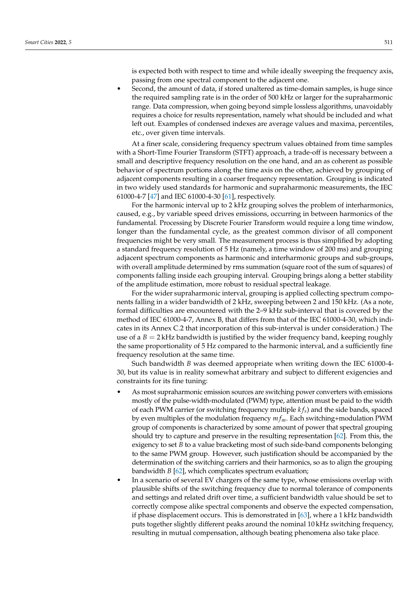is expected both with respect to time and while ideally sweeping the frequency axis, passing from one spectral component to the adjacent one.

• Second, the amount of data, if stored unaltered as time-domain samples, is huge since the required sampling rate is in the order of 500 kHz or larger for the supraharmonic range. Data compression, when going beyond simple lossless algorithms, unavoidably requires a choice for results representation, namely what should be included and what left out. Examples of condensed indexes are average values and maxima, percentiles, etc., over given time intervals.

At a finer scale, considering frequency spectrum values obtained from time samples with a Short-Time Fourier Transform (STFT) approach, a trade-off is necessary between a small and descriptive frequency resolution on the one hand, and an as coherent as possible behavior of spectrum portions along the time axis on the other, achieved by grouping of adjacent components resulting in a coarser frequency representation. Grouping is indicated in two widely used standards for harmonic and supraharmonic measurements, the IEC 61000-4-7 [\[47\]](#page-24-12) and IEC 61000-4-30 [\[61\]](#page-25-0), respectively.

For the harmonic interval up to 2 kHz grouping solves the problem of interharmonics, caused, e.g., by variable speed drives emissions, occurring in between harmonics of the fundamental. Processing by Discrete Fourier Transform would require a long time window, longer than the fundamental cycle, as the greatest common divisor of all component frequencies might be very small. The measurement process is thus simplified by adopting a standard frequency resolution of 5 Hz (namely, a time window of 200 ms) and grouping adjacent spectrum components as harmonic and interharmonic groups and sub-groups, with overall amplitude determined by rms summation (square root of the sum of squares) of components falling inside each grouping interval. Grouping brings along a better stability of the amplitude estimation, more robust to residual spectral leakage.

For the wider supraharmonic interval, grouping is applied collecting spectrum components falling in a wider bandwidth of 2 kHz, sweeping between 2 and 150 kHz. (As a note, formal difficulties are encountered with the 2–9 kHz sub-interval that is covered by the method of IEC 61000-4-7, Annex B, that differs from that of the IEC 61000-4-30, which indicates in its Annex C.2 that incorporation of this sub-interval is under consideration.) The use of a  $B = 2$  kHz bandwidth is justified by the wider frequency band, keeping roughly the same proportionality of 5 Hz compared to the harmonic interval, and a sufficiently fine frequency resolution at the same time.

Such bandwidth *B* was deemed appropriate when writing down the IEC 61000-4- 30, but its value is in reality somewhat arbitrary and subject to different exigencies and constraints for its fine tuning:

- As most supraharmonic emission sources are switching power converters with emissions mostly of the pulse-width-modulated (PWM) type, attention must be paid to the width of each PWM carrier (or switching frequency multiple *k fs*) and the side bands, spaced by even multiples of the modulation frequency *m fm*. Each switching+modulation PWM group of components is characterized by some amount of power that spectral grouping should try to capture and preserve in the resulting representation [\[62\]](#page-25-1). From this, the exigency to set *B* to a value bracketing most of such side-band components belonging to the same PWM group. However, such justification should be accompanied by the determination of the switching carriers and their harmonics, so as to align the grouping bandwidth *B* [\[62\]](#page-25-1), which complicates spectrum evaluation;
- In a scenario of several EV chargers of the same type, whose emissions overlap with plausible shifts of the switching frequency due to normal tolerance of components and settings and related drift over time, a sufficient bandwidth value should be set to correctly compose alike spectral components and observe the expected compensation, if phase displacement occurs. This is demonstrated in [\[63\]](#page-25-2), where a 1 kHz bandwidth puts together slightly different peaks around the nominal 10 kHz switching frequency, resulting in mutual compensation, although beating phenomena also take place.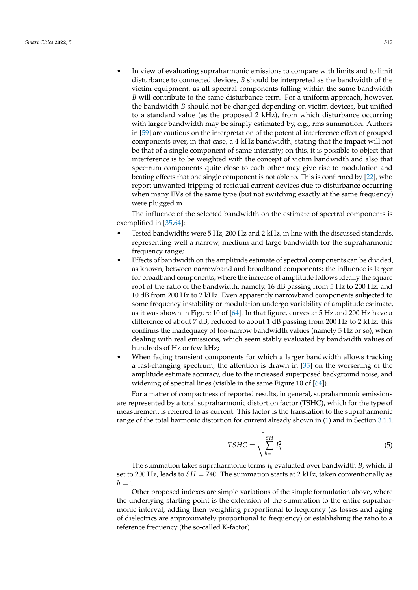• In view of evaluating supraharmonic emissions to compare with limits and to limit disturbance to connected devices, *B* should be interpreted as the bandwidth of the victim equipment, as all spectral components falling within the same bandwidth *B* will contribute to the same disturbance term. For a uniform approach, however, the bandwidth *B* should not be changed depending on victim devices, but unified to a standard value (as the proposed 2 kHz), from which disturbance occurring with larger bandwidth may be simply estimated by, e.g., rms summation. Authors in [\[59\]](#page-24-24) are cautious on the interpretation of the potential interference effect of grouped components over, in that case, a 4 kHz bandwidth, stating that the impact will not be that of a single component of same intensity; on this, it is possible to object that interference is to be weighted with the concept of victim bandwidth and also that spectrum components quite close to each other may give rise to modulation and beating effects that one single component is not able to. This is confirmed by [\[22\]](#page-23-23), who report unwanted tripping of residual current devices due to disturbance occurring when many EVs of the same type (but not switching exactly at the same frequency) were plugged in.

The influence of the selected bandwidth on the estimate of spectral components is exemplified in [\[35,](#page-24-0)[64\]](#page-25-3):

- Tested bandwidths were 5 Hz, 200 Hz and 2 kHz, in line with the discussed standards, representing well a narrow, medium and large bandwidth for the supraharmonic frequency range;
- Effects of bandwidth on the amplitude estimate of spectral components can be divided, as known, between narrowband and broadband components: the influence is larger for broadband components, where the increase of amplitude follows ideally the square root of the ratio of the bandwidth, namely, 16 dB passing from 5 Hz to 200 Hz, and 10 dB from 200 Hz to 2 kHz. Even apparently narrowband components subjected to some frequency instability or modulation undergo variability of amplitude estimate, as it was shown in Figure 10 of [\[64\]](#page-25-3). In that figure, curves at 5 Hz and 200 Hz have a difference of about 7 dB, reduced to about 1 dB passing from 200 Hz to 2 kHz: this confirms the inadequacy of too-narrow bandwidth values (namely 5 Hz or so), when dealing with real emissions, which seem stably evaluated by bandwidth values of hundreds of Hz or few kHz;
- When facing transient components for which a larger bandwidth allows tracking a fast-changing spectrum, the attention is drawn in [\[35\]](#page-24-0) on the worsening of the amplitude estimate accuracy, due to the increased superposed background noise, and widening of spectral lines (visible in the same Figure 10 of [\[64\]](#page-25-3)).

For a matter of compactness of reported results, in general, supraharmonic emissions are represented by a total supraharmonic distortion factor (TSHC), which for the type of measurement is referred to as current. This factor is the translation to the supraharmonic range of the total harmonic distortion for current already shown in [\(1\)](#page-8-2) and in Section [3.1.1.](#page-6-1)

$$
TSHC = \sqrt{\sum_{h=1}^{SH} I_h^2}
$$
 (5)

The summation takes supraharmonic terms  $I_h$  evaluated over bandwidth *B*, which, if set to 200 Hz, leads to  $SH = 740$ . The summation starts at 2 kHz, taken conventionally as  $h=1$ .

Other proposed indexes are simple variations of the simple formulation above, where the underlying starting point is the extension of the summation to the entire supraharmonic interval, adding then weighting proportional to frequency (as losses and aging of dielectrics are approximately proportional to frequency) or establishing the ratio to a reference frequency (the so-called K-factor).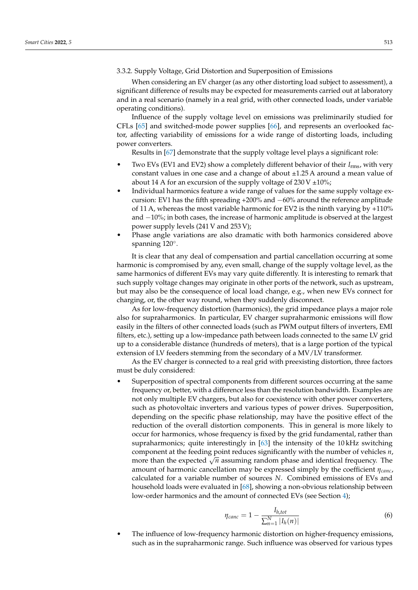3.3.2. Supply Voltage, Grid Distortion and Superposition of Emissions

When considering an EV charger (as any other distorting load subject to assessment), a significant difference of results may be expected for measurements carried out at laboratory and in a real scenario (namely in a real grid, with other connected loads, under variable operating conditions).

Influence of the supply voltage level on emissions was preliminarily studied for CFLs [\[65\]](#page-25-4) and switched-mode power supplies [\[66\]](#page-25-5), and represents an overlooked factor, affecting variability of emissions for a wide range of distorting loads, including power converters.

Results in [\[67\]](#page-25-6) demonstrate that the supply voltage level plays a significant role:

- Two EVs (EV1 and EV2) show a completely different behavior of their *I*rms, with very constant values in one case and a change of about ±1.25 A around a mean value of about 14 A for an excursion of the supply voltage of  $230 \text{ V } \pm 10\%$ ;
- Individual harmonics feature a wide range of values for the same supply voltage excursion: EV1 has the fifth spreading  $+200\%$  and  $-60\%$  around the reference amplitude of 11 A, whereas the most variable harmonic for EV2 is the ninth varying by +110% and −10%; in both cases, the increase of harmonic amplitude is observed at the largest power supply levels (241 V and 253 V);
- Phase angle variations are also dramatic with both harmonics considered above spanning 120°.

It is clear that any deal of compensation and partial cancellation occurring at some harmonic is compromised by any, even small, change of the supply voltage level, as the same harmonics of different EVs may vary quite differently. It is interesting to remark that such supply voltage changes may originate in other ports of the network, such as upstream, but may also be the consequence of local load change, e.g., when new EVs connect for charging, or, the other way round, when they suddenly disconnect.

As for low-frequency distortion (harmonics), the grid impedance plays a major role also for supraharmonics. In particular, EV charger supraharmonic emissions will flow easily in the filters of other connected loads (such as PWM output filters of inverters, EMI filters, etc.), setting up a low-impedance path between loads connected to the same LV grid up to a considerable distance (hundreds of meters), that is a large portion of the typical extension of LV feeders stemming from the secondary of a MV/LV transformer.

As the EV charger is connected to a real grid with preexisting distortion, three factors must be duly considered:

• Superposition of spectral components from different sources occurring at the same frequency or, better, with a difference less than the resolution bandwidth. Examples are not only multiple EV chargers, but also for coexistence with other power converters, such as photovoltaic inverters and various types of power drives. Superposition, depending on the specific phase relationship, may have the positive effect of the reduction of the overall distortion components. This in general is more likely to occur for harmonics, whose frequency is fixed by the grid fundamental, rather than supraharmonics; quite interestingly in [\[63\]](#page-25-2) the intensity of the 10 kHz switching component at the feeding point reduces significantly with the number of vehicles *n*, more than the expected <sup>√</sup> *n* assuming random phase and identical frequency. The amount of harmonic cancellation may be expressed simply by the coefficient *ηcanc*, calculated for a variable number of sources *N*. Combined emissions of EVs and household loads were evaluated in [\[68\]](#page-25-7), showing a non-obvious relationship between low-order harmonics and the amount of connected EVs (see Section [4\)](#page-18-0);

$$
\eta_{canc} = 1 - \frac{I_{h,tot}}{\sum_{n=1}^{N} |I_h(n)|} \tag{6}
$$

• The influence of low-frequency harmonic distortion on higher-frequency emissions, such as in the supraharmonic range. Such influence was observed for various types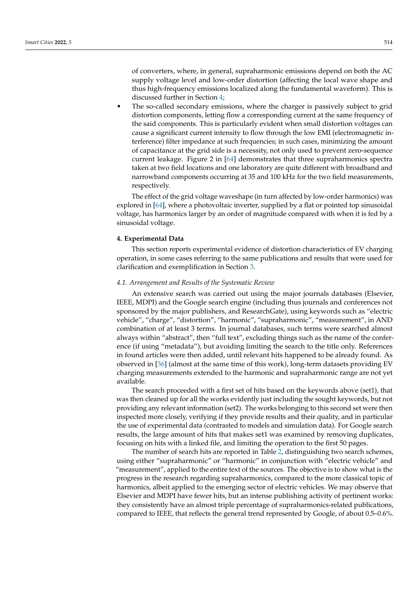of converters, where, in general, supraharmonic emissions depend on both the AC supply voltage level and low-order distortion (affecting the local wave shape and thus high-frequency emissions localized along the fundamental waveform). This is discussed further in Section [4;](#page-18-0)

• The so-called secondary emissions, where the charger is passively subject to grid distortion components, letting flow a corresponding current at the same frequency of the said components. This is particularly evident when small distortion voltages can cause a significant current intensity to flow through the low EMI (electromagnetic interference) filter impedance at such frequencies; in such cases, minimizing the amount of capacitance at the grid side is a necessity, not only used to prevent zero-sequence current leakage. Figure 2 in [\[64\]](#page-25-3) demonstrates that three supraharmonics spectra taken at two field locations and one laboratory are quite different with broadband and narrowband components occurring at 35 and 100 kHz for the two field measurements, respectively.

The effect of the grid voltage waveshape (in turn affected by low-order harmonics) was explored in [\[64\]](#page-25-3), where a photovoltaic inverter, supplied by a flat or pointed top sinusoidal voltage, has harmonics larger by an order of magnitude compared with when it is fed by a sinusoidal voltage.

#### <span id="page-18-0"></span>**4. Experimental Data**

This section reports experimental evidence of distortion characteristics of EV charging operation, in some cases referring to the same publications and results that were used for clarification and exemplification in Section [3.](#page-5-0)

#### *4.1. Arrangement and Results of the Systematic Review*

An extensive search was carried out using the major journals databases (Elsevier, IEEE, MDPI) and the Google search engine (including thus journals and conferences not sponsored by the major publishers, and ResearchGate), using keywords such as "electric vehicle", "charge", "distortion", "harmonic", "supraharmonic", "measurement", in AND combination of at least 3 terms. In journal databases, such terms were searched almost always within "abstract", then "full text", excluding things such as the name of the conference (if using "metadata"), but avoiding limiting the search to the title only. References in found articles were then added, until relevant hits happened to be already found. As observed in [\[36\]](#page-24-1) (almost at the same time of this work), long-term datasets providing EV charging measurements extended to the harmonic and supraharmonic range are not yet available.

The search proceeded with a first set of hits based on the keywords above (set1), that was then cleaned up for all the works evidently just including the sought keywords, but not providing any relevant information (set2). The works belonging to this second set were then inspected more closely, verifying if they provide results and their quality, and in particular the use of experimental data (contrasted to models and simulation data). For Google search results, the large amount of hits that makes set1 was examined by removing duplicates, focusing on hits with a linked file, and limiting the operation to the first 50 pages.

The number of search hits are reported in Table [2,](#page-19-1) distinguishing two search schemes, using either "supraharmonic" or "harmonic" in conjunction with "electric vehicle" and "measurement", applied to the entire text of the sources. The objective is to show what is the progress in the research regarding supraharmonics, compared to the more classical topic of harmonics, albeit applied to the emerging sector of electric vehicles. We may observe that Elsevier and MDPI have fewer hits, but an intense publishing activity of pertinent works: they consistently have an almost triple percentage of supraharmonics-related publications, compared to IEEE, that reflects the general trend represented by Google, of about 0.5–0.6%.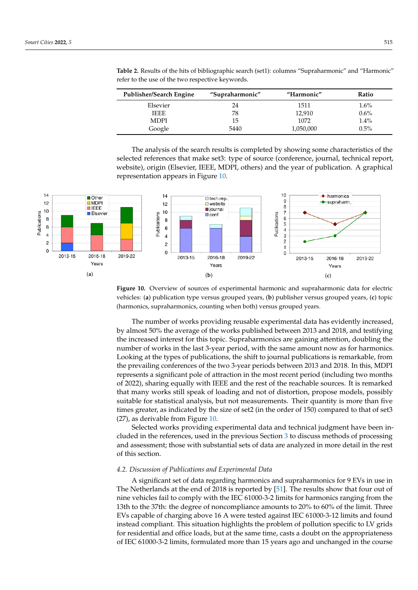| Publisher/Search Engine | "Supraharmonic" | "Harmonic" | Ratio   |
|-------------------------|-----------------|------------|---------|
| Elsevier                | 24              | 1511       | $1.6\%$ |
| <b>IEEE</b>             | 78              | 12.910     | $0.6\%$ |
| <b>MDPI</b>             | 15              | 1072       | 1.4%    |
| Google                  | 5440            | 1,050,000  | $0.5\%$ |

<span id="page-19-1"></span>**Table 2.** Results of the hits of bibliographic search (set1): columns "Supraharmonic" and "Harmonic" refer to the use of the two respective keywords.

<span id="page-19-2"></span>The analysis of the search results is completed by showing some characteristics of the selected references that make set3: type of source (conference, journal, technical report, website), origin (Elsevier, IEEE, MDPI, others) and the year of publication. A graphical representation appears in Figure [10.](#page-19-2)



**Figure 10.** Overview of sources of experimental harmonic and supraharmonic data for electric vehicles: (**a**) publication type versus grouped years, (**b**) publisher versus grouped years, (**c**) topic (harmonics, supraharmonics, counting when both) versus grouped years.

The number of works providing reusable experimental data has evidently increased, by almost 50% the average of the works published between 2013 and 2018, and testifying the increased interest for this topic. Supraharmonics are gaining attention, doubling the number of works in the last 3-year period, with the same amount now as for harmonics. Looking at the types of publications, the shift to journal publications is remarkable, from the prevailing conferences of the two 3-year periods between 2013 and 2018. In this, MDPI represents a significant pole of attraction in the most recent period (including two months of 2022), sharing equally with IEEE and the rest of the reachable sources. It is remarked that many works still speak of loading and not of distortion, propose models, possibly suitable for statistical analysis, but not measurements. Their quantity is more than five times greater, as indicated by the size of set2 (in the order of 150) compared to that of set3 (27), as derivable from Figure [10.](#page-19-2)

Selected works providing experimental data and technical judgment have been included in the references, used in the previous Section [3](#page-5-0) to discuss methods of processing and assessment; those with substantial sets of data are analyzed in more detail in the rest of this section.

#### <span id="page-19-0"></span>*4.2. Discussion of Publications and Experimental Data*

A significant set of data regarding harmonics and supraharmonics for 9 EVs in use in The Netherlands at the end of 2018 is reported by [\[51\]](#page-24-16). The results show that four out of nine vehicles fail to comply with the IEC 61000-3-2 limits for harmonics ranging from the 13th to the 37th: the degree of noncompliance amounts to 20% to 60% of the limit. Three EVs capable of charging above 16 A were tested against IEC 61000-3-12 limits and found instead compliant. This situation highlights the problem of pollution specific to LV grids for residential and office loads, but at the same time, casts a doubt on the appropriateness of IEC 61000-3-2 limits, formulated more than 15 years ago and unchanged in the course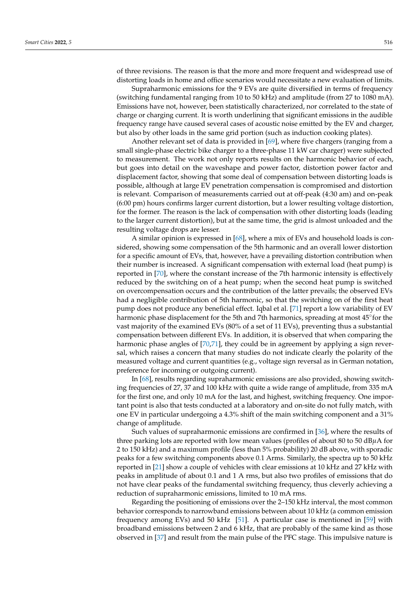of three revisions. The reason is that the more and more frequent and widespread use of distorting loads in home and office scenarios would necessitate a new evaluation of limits.

Supraharmonic emissions for the 9 EVs are quite diversified in terms of frequency (switching fundamental ranging from 10 to 50 kHz) and amplitude (from 27 to 1080 mA). Emissions have not, however, been statistically characterized, nor correlated to the state of charge or charging current. It is worth underlining that significant emissions in the audible frequency range have caused several cases of acoustic noise emitted by the EV and charger, but also by other loads in the same grid portion (such as induction cooking plates).

Another relevant set of data is provided in [\[69\]](#page-25-8), where five chargers (ranging from a small single-phase electric bike charger to a three-phase 11 kW car charger) were subjected to measurement. The work not only reports results on the harmonic behavior of each, but goes into detail on the waveshape and power factor, distortion power factor and displacement factor, showing that some deal of compensation between distorting loads is possible, although at large EV penetration compensation is compromised and distortion is relevant. Comparison of measurements carried out at off-peak (4:30 am) and on-peak (6:00 pm) hours confirms larger current distortion, but a lower resulting voltage distortion, for the former. The reason is the lack of compensation with other distorting loads (leading to the larger current distortion), but at the same time, the grid is almost unloaded and the resulting voltage drops are lesser.

A similar opinion is expressed in [\[68\]](#page-25-7), where a mix of EVs and household loads is considered, showing some compensation of the 5th harmonic and an overall lower distortion for a specific amount of EVs, that, however, have a prevailing distortion contribution when their number is increased. A significant compensation with external load (heat pump) is reported in [\[70\]](#page-25-9), where the constant increase of the 7th harmonic intensity is effectively reduced by the switching on of a heat pump; when the second heat pump is switched on overcompensation occurs and the contribution of the latter prevails; the observed EVs had a negligible contribution of 5th harmonic, so that the switching on of the first heat pump does not produce any beneficial effect. Iqbal et al. [\[71\]](#page-25-10) report a low variability of EV harmonic phase displacement for the 5th and 7th harmonics, spreading at most 45◦ for the vast majority of the examined EVs (80% of a set of 11 EVs), preventing thus a substantial compensation between different EVs. In addition, it is observed that when comparing the harmonic phase angles of [\[70,](#page-25-9)[71\]](#page-25-10), they could be in agreement by applying a sign reversal, which raises a concern that many studies do not indicate clearly the polarity of the measured voltage and current quantities (e.g., voltage sign reversal as in German notation, preference for incoming or outgoing current).

In [\[68\]](#page-25-7), results regarding supraharmonic emissions are also provided, showing switching frequencies of 27, 37 and 100 kHz with quite a wide range of amplitude, from 335 mA for the first one, and only 10 mA for the last, and highest, switching frequency. One important point is also that tests conducted at a laboratory and on-site do not fully match, with one EV in particular undergoing a 4.3% shift of the main switching component and a 31% change of amplitude.

Such values of supraharmonic emissions are confirmed in [\[36\]](#page-24-1), where the results of three parking lots are reported with low mean values (profiles of about 80 to 50 dB*µ*A for 2 to 150 kHz) and a maximum profile (less than 5% probability) 20 dB above, with sporadic peaks for a few switching components above 0.1 Arms. Similarly, the spectra up to 50 kHz reported in [\[21\]](#page-23-22) show a couple of vehicles with clear emissions at 10 kHz and 27 kHz with peaks in amplitude of about 0.1 and 1 A rms, but also two profiles of emissions that do not have clear peaks of the fundamental switching frequency, thus cleverly achieving a reduction of supraharmonic emissions, limited to 10 mA rms.

Regarding the positioning of emissions over the 2–150 kHz interval, the most common behavior corresponds to narrowband emissions between about 10 kHz (a common emission frequency among EVs) and 50 kHz [\[51\]](#page-24-16). A particular case is mentioned in [\[59\]](#page-24-24) with broadband emissions between 2 and 6 kHz, that are probably of the same kind as those observed in [\[37\]](#page-24-2) and result from the main pulse of the PFC stage. This impulsive nature is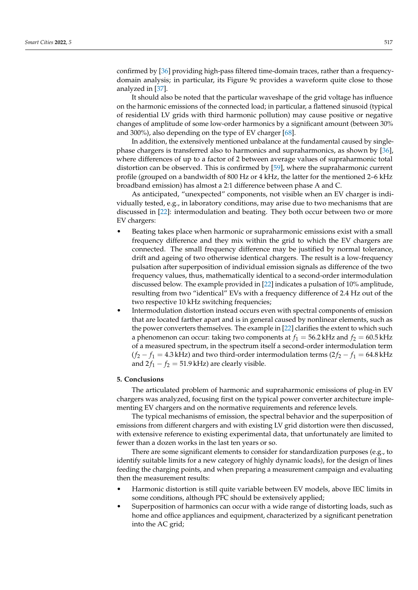confirmed by [\[36\]](#page-24-1) providing high-pass filtered time-domain traces, rather than a frequencydomain analysis; in particular, its Figure 9c provides a waveform quite close to those analyzed in [\[37\]](#page-24-2).

It should also be noted that the particular waveshape of the grid voltage has influence on the harmonic emissions of the connected load; in particular, a flattened sinusoid (typical of residential LV grids with third harmonic pollution) may cause positive or negative changes of amplitude of some low-order harmonics by a significant amount (between 30% and 300%), also depending on the type of EV charger [\[68\]](#page-25-7).

In addition, the extensively mentioned unbalance at the fundamental caused by singlephase chargers is transferred also to harmonics and supraharmonics, as shown by [\[36\]](#page-24-1), where differences of up to a factor of 2 between average values of supraharmonic total distortion can be observed. This is confirmed by [\[59\]](#page-24-24), where the supraharmonic current profile (grouped on a bandwidth of 800 Hz or 4 kHz, the latter for the mentioned 2–6 kHz broadband emission) has almost a 2:1 difference between phase A and C.

As anticipated, "unexpected" components, not visible when an EV charger is individually tested, e.g., in laboratory conditions, may arise due to two mechanisms that are discussed in [\[22\]](#page-23-23): intermodulation and beating. They both occur between two or more EV chargers:

- Beating takes place when harmonic or supraharmonic emissions exist with a small frequency difference and they mix within the grid to which the EV chargers are connected. The small frequency difference may be justified by normal tolerance, drift and ageing of two otherwise identical chargers. The result is a low-frequency pulsation after superposition of individual emission signals as difference of the two frequency values, thus, mathematically identical to a second-order intermodulation discussed below. The example provided in [\[22\]](#page-23-23) indicates a pulsation of 10% amplitude, resulting from two "identical" EVs with a frequency difference of 2.4 Hz out of the two respective 10 kHz switching frequencies;
- Intermodulation distortion instead occurs even with spectral components of emission that are located farther apart and is in general caused by nonlinear elements, such as the power converters themselves. The example in [\[22\]](#page-23-23) clarifies the extent to which such a phenomenon can occur: taking two components at  $f_1 = 56.2$  kHz and  $f_2 = 60.5$  kHz of a measured spectrum, in the spectrum itself a second-order intermodulation term  $(f_2 - f_1 = 4.3$  kHz) and two third-order intermodulation terms  $(2f_2 - f_1 = 64.8$  kHz and  $2f_1 - f_2 = 51.9$  kHz) are clearly visible.

## **5. Conclusions**

The articulated problem of harmonic and supraharmonic emissions of plug-in EV chargers was analyzed, focusing first on the typical power converter architecture implementing EV chargers and on the normative requirements and reference levels.

The typical mechanisms of emission, the spectral behavior and the superposition of emissions from different chargers and with existing LV grid distortion were then discussed, with extensive reference to existing experimental data, that unfortunately are limited to fewer than a dozen works in the last ten years or so.

There are some significant elements to consider for standardization purposes (e.g., to identify suitable limits for a new category of highly dynamic loads), for the design of lines feeding the charging points, and when preparing a measurement campaign and evaluating then the measurement results:

- Harmonic distortion is still quite variable between EV models, above IEC limits in some conditions, although PFC should be extensively applied;
- Superposition of harmonics can occur with a wide range of distorting loads, such as home and office appliances and equipment, characterized by a significant penetration into the AC grid;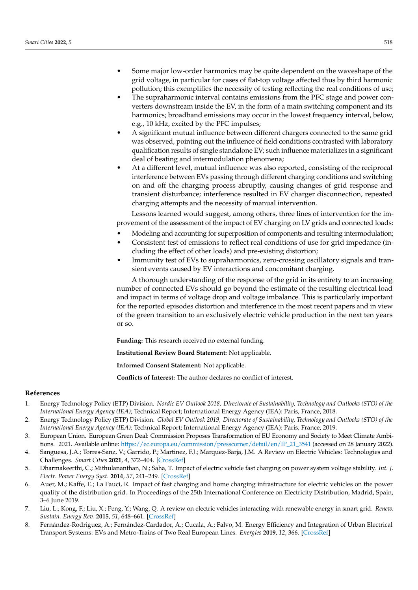- Some major low-order harmonics may be quite dependent on the waveshape of the grid voltage, in particular for cases of flat-top voltage affected thus by third harmonic pollution; this exemplifies the necessity of testing reflecting the real conditions of use;
- The supraharmonic interval contains emissions from the PFC stage and power converters downstream inside the EV, in the form of a main switching component and its harmonics; broadband emissions may occur in the lowest frequency interval, below, e.g., 10 kHz, excited by the PFC impulses;
- A significant mutual influence between different chargers connected to the same grid was observed, pointing out the influence of field conditions contrasted with laboratory qualification results of single standalone EV; such influence materializes in a significant deal of beating and intermodulation phenomena;
- At a different level, mutual influence was also reported, consisting of the reciprocal interference between EVs passing through different charging conditions and switching on and off the charging process abruptly, causing changes of grid response and transient disturbance; interference resulted in EV charger disconnection, repeated charging attempts and the necessity of manual intervention.

Lessons learned would suggest, among others, three lines of intervention for the improvement of the assessment of the impact of EV charging on LV grids and connected loads:

- Modeling and accounting for superposition of components and resulting intermodulation;
- Consistent test of emissions to reflect real conditions of use for grid impedance (including the effect of other loads) and pre-existing distortion;
- Immunity test of EVs to supraharmonics, zero-crossing oscillatory signals and transient events caused by EV interactions and concomitant charging.

A thorough understanding of the response of the grid in its entirety to an increasing number of connected EVs should go beyond the estimate of the resulting electrical load and impact in terms of voltage drop and voltage imbalance. This is particularly important for the reported episodes distortion and interference in the most recent papers and in view of the green transition to an exclusively electric vehicle production in the next ten years or so.

**Funding:** This research received no external funding.

**Institutional Review Board Statement:** Not applicable.

**Informed Consent Statement:** Not applicable.

**Conflicts of Interest:** The author declares no conflict of interest.

## **References**

- <span id="page-22-0"></span>1. Energy Technology Policy (ETP) Division. *Nordic EV Outlook 2018, Directorate of Sustainability, Technology and Outlooks (STO) of the International Energy Agency (IEA)*; Technical Report; International Energy Agency (IEA): Paris, France, 2018.
- <span id="page-22-1"></span>2. Energy Technology Policy (ETP) Division. *Global EV Outlook 2019, Directorate of Sustainability, Technology and Outlooks (STO) of the International Energy Agency (IEA)*; Technical Report; International Energy Agency (IEA): Paris, France, 2019.
- <span id="page-22-2"></span>3. European Union. European Green Deal: Commission Proposes Transformation of EU Economy and Society to Meet Climate Ambitions. 2021. Available online: [https://ec.europa.eu/commission/presscorner/detail/en/IP\\_21\\_3541](https://ec.europa.eu/commission/presscorner/detail/en/IP_21_3541) (accessed on 28 January 2022).
- <span id="page-22-3"></span>4. Sanguesa, J.A.; Torres-Sanz, V.; Garrido, P.; Martinez, F.J.; Marquez-Barja, J.M. A Review on Electric Vehicles: Technologies and Challenges. *Smart Cities* **2021**, *4*, 372–404. [\[CrossRef\]](http://doi.org/10.3390/smartcities4010022)
- <span id="page-22-4"></span>5. Dharmakeerthi, C.; Mithulananthan, N.; Saha, T. Impact of electric vehicle fast charging on power system voltage stability. *Int. J. Electr. Power Energy Syst.* **2014**, *57*, 241–249. [\[CrossRef\]](http://dx.doi.org/10.1016/j.ijepes.2013.12.005)
- <span id="page-22-5"></span>6. Auer, M.; Kaffe, E.; La Fauci, R. Impact of fast charging and home charging infrastructure for electric vehicles on the power quality of the distribution grid. In Proceedings of the 25th International Conference on Electricity Distribution, Madrid, Spain, 3–6 June 2019.
- <span id="page-22-6"></span>7. Liu, L.; Kong, F.; Liu, X.; Peng, Y.; Wang, Q. A review on electric vehicles interacting with renewable energy in smart grid. *Renew. Sustain. Energy Rev.* **2015**, *51*, 648–661. [\[CrossRef\]](http://dx.doi.org/10.1016/j.rser.2015.06.036)
- <span id="page-22-7"></span>8. Fernández-Rodriguez, A.; Fernández-Cardador, A.; Cucala, A.; Falvo, M. Energy Efficiency and Integration of Urban Electrical Transport Systems: EVs and Metro-Trains of Two Real European Lines. *Energies* **2019**, *12*, 366. [\[CrossRef\]](http://dx.doi.org/10.3390/en12030366)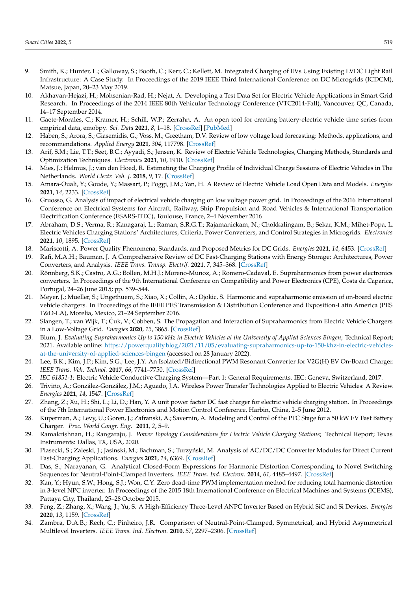- <span id="page-23-0"></span>9. Smith, K.; Hunter, L.; Galloway, S.; Booth, C.; Kerr, C.; Kellett, M. Integrated Charging of EVs Using Existing LVDC Light Rail Infrastructure: A Case Study. In Proceedings of the 2019 IEEE Third International Conference on DC Microgrids (ICDCM), Matsue, Japan, 20–23 May 2019.
- <span id="page-23-1"></span>10. Akhavan-Hejazi, H.; Mohsenian-Rad, H.; Nejat, A. Developing a Test Data Set for Electric Vehicle Applications in Smart Grid Research. In Proceedings of the 2014 IEEE 80th Vehicular Technology Conference (VTC2014-Fall), Vancouver, QC, Canada, 14–17 September 2014.
- 11. Gaete-Morales, C.; Kramer, H.; Schill, W.P.; Zerrahn, A. An open tool for creating battery-electric vehicle time series from empirical data, emobpy. *Sci. Data* **2021**, *8*, 1–18. [\[CrossRef\]](http://dx.doi.org/10.1038/s41597-021-00932-9) [\[PubMed\]](http://www.ncbi.nlm.nih.gov/pubmed/34117257)
- 12. Haben, S.; Arora, S.; Giasemidis, G.; Voss, M.; Greetham, D.V. Review of low voltage load forecasting: Methods, applications, and recommendations. *Applied Energy* **2021**, *304*, 117798. [\[CrossRef\]](http://dx.doi.org/10.1016/j.apenergy.2021.117798)
- <span id="page-23-2"></span>13. Arif, S.M.; Lie, T.T.; Seet, B.C.; Ayyadi, S.; Jensen, K. Review of Electric Vehicle Technologies, Charging Methods, Standards and Optimization Techniques. *Electronics* **2021**, *10*, 1910. [\[CrossRef\]](http://dx.doi.org/10.3390/electronics10161910)
- <span id="page-23-3"></span>14. Mies, J.; Helmus, J.; van den Hoed, R. Estimating the Charging Profile of Individual Charge Sessions of Electric Vehicles in The Netherlands. *World Electr. Veh. J.* **2018**, *9*, 17. [\[CrossRef\]](http://dx.doi.org/10.3390/wevj9020017)
- <span id="page-23-4"></span>15. Amara-Ouali, Y.; Goude, Y.; Massart, P.; Poggi, J.M.; Yan, H. A Review of Electric Vehicle Load Open Data and Models. *Energies* **2021**, *14*, 2233. [\[CrossRef\]](http://dx.doi.org/10.3390/en14082233)
- <span id="page-23-5"></span>16. Gruosso, G. Analysis of impact of electrical vehicle charging on low voltage power grid. In Proceedings of the 2016 International Conference on Electrical Systems for Aircraft, Railway, Ship Propulsion and Road Vehicles & International Transportation Electrification Conference (ESARS-ITEC), Toulouse, France, 2–4 November 2016
- <span id="page-23-6"></span>17. Abraham, D.S.; Verma, R.; Kanagaraj, L.; Raman, S.R.G.T.; Rajamanickam, N.; Chokkalingam, B.; Sekar, K.M.; Mihet-Popa, L. Electric Vehicles Charging Stations' Architectures, Criteria, Power Converters, and Control Strategies in Microgrids. *Electronics* **2021**, *10*, 1895. [\[CrossRef\]](http://dx.doi.org/10.3390/electronics10161895)
- <span id="page-23-8"></span>18. Mariscotti, A. Power Quality Phenomena, Standards, and Proposed Metrics for DC Grids. *Energies* **2021**, *14*, 6453. [\[CrossRef\]](http://dx.doi.org/10.3390/en14206453)
- <span id="page-23-7"></span>19. Rafi, M.A.H.; Bauman, J. A Comprehensive Review of DC Fast-Charging Stations with Energy Storage: Architectures, Power Converters, and Analysis. *IEEE Trans. Transp. Electrif.* **2021**, *7*, 345–368. [\[CrossRef\]](http://dx.doi.org/10.1109/TTE.2020.3015743)
- <span id="page-23-9"></span>20. Rönnberg, S.K.; Castro, A.G.; Bollen, M.H.J.; Moreno-Munoz, A.; Romero-Cadaval, E. Supraharmonics from power electronics converters. In Proceedings of the 9th International Conference on Compatibility and Power Electronics (CPE), Costa da Caparica, Portugal, 24–26 June 2015; pp. 539–544.
- <span id="page-23-22"></span>21. Meyer, J.; Mueller, S.; Ungethuem, S.; Xiao, X.; Collin, A.; Djokic, S. Harmonic and supraharmonic emission of on-board electric vehicle chargers. In Proceedings of the IEEE PES Transmission & Distribution Conference and Exposition-Latin America (PES T&D-LA), Morelia, Mexico, 21–24 September 2016.
- <span id="page-23-23"></span>22. Slangen, T.; van Wijk, T.; Cuk, V.; Cobben, S. The Propagation and Interaction of Supraharmonics from Electric Vehicle Chargers ´ in a Low-Voltage Grid. *Energies* **2020**, *13*, 3865. [\[CrossRef\]](http://dx.doi.org/10.3390/en13153865)
- <span id="page-23-10"></span>23. Blum, J. *Evaluating Supraharmonics Up to 150 kHz in Electric Vehicles at the University of Applied Sciences Bingen*; Technical Report; 2021. Available online: [https://powerquality.blog/2021/11/05/evaluating-supraharmonics-up-to-150-khz-in-electric-vehicles](https://powerquality.blog/2021/11/05/evaluating-supraharmonics-up-to-150-khz-in-electric-vehicles-at-the-university-of-applied-sciences-bingen)[at-the-university-of-applied-sciences-bingen](https://powerquality.blog/2021/11/05/evaluating-supraharmonics-up-to-150-khz-in-electric-vehicles-at-the-university-of-applied-sciences-bingen) (accessed on 28 January 2022).
- <span id="page-23-11"></span>24. Lee, B.K.; Kim, J.P.; Kim, S.G.; Lee, J.Y. An Isolated/Bidirectional PWM Resonant Converter for V2G(H) EV On-Board Charger. *IEEE Trans. Veh. Technol.* **2017**, *66*, 7741–7750. [\[CrossRef\]](http://dx.doi.org/10.1109/TVT.2017.2678532)
- <span id="page-23-12"></span>25. *IEC 61851-1*; Electric Vehicle Conductive Charging System—Part 1: General Requirements. IEC: Geneva, Switzerland, 2017.
- <span id="page-23-13"></span>26. Triviño, A.; González-González, J.M.; Aguado, J.A. Wireless Power Transfer Technologies Applied to Electric Vehicles: A Review. *Energies* **2021**, *14*, 1547. [\[CrossRef\]](http://dx.doi.org/10.3390/en14061547)
- <span id="page-23-14"></span>27. Zhang, Z.; Xu, H.; Shi, L.; Li, D.; Han, Y. A unit power factor DC fast charger for electric vehicle charging station. In Proceedings of the 7th International Power Electronics and Motion Control Conference, Harbin, China, 2–5 June 2012.
- <span id="page-23-15"></span>28. Kuperman, A.; Levy, U.; Goren, J.; Zafranski, A.; Savernin, A. Modeling and Control of the PFC Stage for a 50 kW EV Fast Battery Charger. *Proc. World Congr. Eng.* **2011**, *2*, 5–9.
- <span id="page-23-16"></span>29. Ramakrishnan, H.; Rangaraju, J. *Power Topology Considerations for Electric Vehicle Charging Stations*; Technical Report; Texas Instruments: Dallas, TX, USA, 2020.
- <span id="page-23-17"></span>30. Piasecki, S.; Zaleski, J.; Jasinski, M.; Bachman, S.; Turzyński, M. Analysis of AC/DC/DC Converter Modules for Direct Current Fast-Charging Applications. *Energies* **2021**, *14*, 6369. [\[CrossRef\]](http://dx.doi.org/10.3390/en14196369)
- <span id="page-23-18"></span>31. Das, S.; Narayanan, G. Analytical Closed-Form Expressions for Harmonic Distortion Corresponding to Novel Switching Sequences for Neutral-Point-Clamped Inverters. *IEEE Trans. Ind. Electron.* **2014**, *61*, 4485–4497. [\[CrossRef\]](http://dx.doi.org/10.1109/TIE.2013.2293708)
- <span id="page-23-21"></span>32. Kan, Y.; Hyun, S.W.; Hong, S.J.; Won, C.Y. Zero dead-time PWM implementation method for reducing total harmonic distortion in 3-level NPC inverter. In Proceedings of the 2015 18th International Conference on Electrical Machines and Systems (ICEMS), Pattaya City, Thailand, 25–28 October 2015.
- <span id="page-23-19"></span>33. Feng, Z.; Zhang, X.; Wang, J.; Yu, S. A High-Efficiency Three-Level ANPC Inverter Based on Hybrid SiC and Si Devices. *Energies* **2020**, *13*, 1159. [\[CrossRef\]](http://dx.doi.org/10.3390/en13051159)
- <span id="page-23-20"></span>34. Zambra, D.A.B.; Rech, C.; Pinheiro, J.R. Comparison of Neutral-Point-Clamped, Symmetrical, and Hybrid Asymmetrical Multilevel Inverters. *IEEE Trans. Ind. Electron.* **2010**, *57*, 2297–2306. [\[CrossRef\]](http://dx.doi.org/10.1109/TIE.2010.2040561)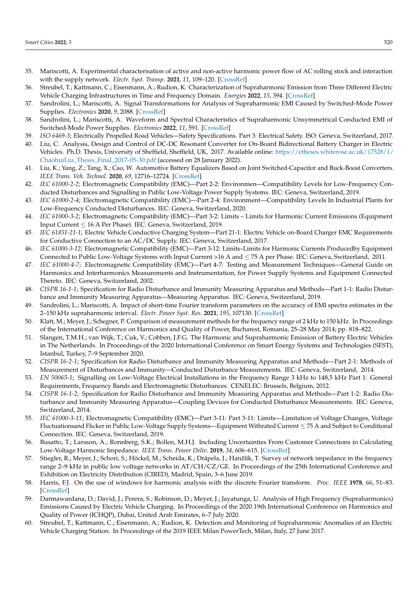- <span id="page-24-0"></span>35. Mariscotti, A. Experimental characterisation of active and non-active harmonic power flow of AC rolling stock and interaction with the supply network. *Electr. Syst. Transp.* **2021**, *11*, 109–120. [\[CrossRef\]](http://dx.doi.org/10.1049/els2.12009)
- <span id="page-24-1"></span>36. Streubel, T.; Kattmann, C.; Eisenmann, A.; Rudion, K. Characterization of Supraharmonic Emission from Three Different Electric Vehicle Charging Infrastructures in Time and Frequency Domain. *Energies* **2022**, *15*, 394. [\[CrossRef\]](http://dx.doi.org/10.3390/en15020394)
- <span id="page-24-2"></span>37. Sandrolini, L.; Mariscotti, A. Signal Transformations for Analysis of Supraharmonic EMI Caused by Switched-Mode Power Supplies. *Electronics* **2020**, *9*, 2088. [\[CrossRef\]](http://dx.doi.org/10.3390/electronics9122088)
- <span id="page-24-3"></span>38. Sandrolini, L.; Mariscotti, A. Waveform and Spectral Characteristics of Supraharmonic Unsymmetrical Conducted EMI of Switched-Mode Power Supplies. *Electronics* **2022**, *11*, 591. [\[CrossRef\]](http://dx.doi.org/10.3390/electronics11040591)
- <span id="page-24-4"></span>39. *ISO 6469-3*; Electrically Propelled Road Vehicles—Safety Specifications. Part 3: Electrical Safety. ISO: Geneva, Switzerland, 2017.
- <span id="page-24-5"></span>40. Liu, C. Analysis, Design and Control of DC-DC Resonant Converter for On-Board Bidirectional Battery Charger in Electric Vehicles. Ph.D. Thesis, University of Sheffield, Sheffield, UK, 2017. Available online: [https://etheses.whiterose.ac.uk/17528/1/](https://etheses.whiterose.ac.uk/17528/1/Chaohui Liu_Thesis_Final_2017-05-30.pdf) [ChaohuiLiu\\_Thesis\\_Final\\_2017-05-30.pdf](https://etheses.whiterose.ac.uk/17528/1/Chaohui Liu_Thesis_Final_2017-05-30.pdf) (accessed on 28 January 2022).
- <span id="page-24-6"></span>41. Liu, K.; Yang, Z.; Tang, X.; Cao, W. Automotive Battery Equalizers Based on Joint Switched-Capacitor and Buck-Boost Converters. *IEEE Trans. Veh. Technol.* **2020**, *69*, 12716–12724. [\[CrossRef\]](http://dx.doi.org/10.1109/TVT.2020.3019347)
- <span id="page-24-7"></span>42. *IEC 61000-2-2*; Electromagnetic Compatibility (EMC)—Part 2-2: Environmen—Compatibility Levels for Low-Frequency Conducted Disturbances and Signalling in Public Low-Voltage Power Supply Systems. IEC: Geneva, Switzerland, 2019.
- <span id="page-24-8"></span>43. *IEC 61000-2-4*; Electromagnetic Compatibility (EMC)—Part 2-4: Environment—Compatibility Levels In Industrial Plants for Low-Frequency Conducted Disturbances. IEC: Geneva, Switzerland, 2020.
- <span id="page-24-9"></span>44. *IEC 61000-3-2*; Electromagnetic Compatibility (EMC)—Part 3-2: Limits – Limits for Harmonic Current Emissions (Equipment Input Current ≤ 16 A Per Phase). IEC: Geneva, Switzerland, 2019.
- <span id="page-24-10"></span>45. *IEC 61851-21-1*; Electric Vehicle Conductive Charging System—Part 21-1: Electric Vehicle on-Board Charger EMC Requirements for Conductive Connection to an AC/DC Supply. IEC: Geneva, Switzerland, 2017.
- <span id="page-24-11"></span>46. *IEC 61000-3-12*; Electromagnetic Compatibility (EMC)—Part 3-12: Limits–Limits for Harmonic Currents Producedby Equipment Connected to Public Low-Voltage Systems with Input Current >16 A and  $\leq$  75 A per Phase. IEC: Geneva, Switzerland, 2011.
- <span id="page-24-12"></span>47. *IEC 61000-4-7*; Electromagnetic Compatibility (EMC)—Part 4-7: Testing and Measurement Techniques—General Guide on Harmonics and Interharmonics Measurements and Instrumentation, for Power Supply Systems and Equipment Connected Thereto. IEC: Geneva, Switzerland, 2002.
- <span id="page-24-13"></span>48. *CISPR 16-1-1*; Specification for Radio Disturbance and Immunity Measuring Apparatus and Methods—Part 1-1: Radio Disturbance and Immunity Measuring Apparatus—Measuring Apparatus. IEC: Geneva, Switzerland, 2019.
- <span id="page-24-14"></span>49. Sandrolini, L.; Mariscotti, A. Impact of short-time Fourier transform parameters on the accuracy of EMI spectra estimates in the 2–150 kHz supraharmonic interval. *Electr. Power Syst. Res.* **2021**, *195*, 107130. [\[CrossRef\]](http://dx.doi.org/10.1016/j.epsr.2021.107130)
- <span id="page-24-15"></span>50. Klatt, M.; Meyer, J.; Schegner, P. Comparison of measurement methods for the frequency range of 2 kHz to 150 kHz. In Proceedings of the International Conference on Harmonics and Quality of Power, Bucharest, Romania, 25–28 May 2014; pp. 818–822.
- <span id="page-24-16"></span>51. Slangen, T.M.H.; van Wijk, T.; Cuk, V.; Cobben, J.F.G. The Harmonic and Supraharmonic Emission of Battery Electric Vehicles in The Netherlands. In Proceedings of the 2020 International Conference on Smart Energy Systems and Technologies (SEST), Istanbul, Turkey, 7–9 September 2020.
- <span id="page-24-17"></span>52. *CISPR 16-2-1*; Specification for Radio Disturbance and Immunity Measuring Apparatus and Methods—Part 2-1: Methods of Measurement of Disturbances and Immunity—Conducted Disturbance Measurements. IEC: Geneva, Switzerland, 2014.
- <span id="page-24-18"></span>53. *EN 50065-1*; Signalling on Low-Voltage Electrical Installations in the Frequency Range 3 kHz to 148,5 kHz Part 1: General Requirements, Frequency Bands and Electromagnetic Disturbances. CENELEC: Brussels, Belgium, 2012.
- <span id="page-24-19"></span>54. *CISPR 16-1-2*; Specification for Radio Disturbance and Immunity Measuring Apparatus and Methods—Part 1-2: Radio Disturbance and Immunity Measuring Apparatus—Coupling Devices for Conducted Disturbance Measurements. IEC: Geneva, Switzerland, 2014.
- <span id="page-24-20"></span>55. *IEC 61000-3-11*; Electromagnetic Compatibility (EMC)—Part 3-11: Part 3-11: Limits—Limitation of Voltage Changes, Voltage Fluctuationsand Flicker in Public Low-Voltage Supply Systems—Equipment Withrated Current ≤ 75 A and Subject to Conditional Connection. IEC: Geneva, Switzerland, 2019.
- <span id="page-24-21"></span>56. Busatto, T.; Larsson, A.; Ronnberg, S.K.; Bollen, M.H.J. Including Uncertainties From Customer Connections in Calculating Low-Voltage Harmonic Impedance. *IEEE Trans. Power Deliv.* **2019**, *34*, 606–615. [\[CrossRef\]](http://dx.doi.org/10.1109/TPWRD.2018.2881222)
- <span id="page-24-22"></span>57. Stiegler, R.; Meyer, J.; Schori, S.; Höckel, M.; Scheida, K.; Drápela, J.; Hanžlík, T. Survey of network impedance in the frequency range 2–9 kHz in public low voltage networks in AT/CH/CZ/GE. In Proceedings of the 25th International Conference and Exhibition on Electricity Distribution (CIRED), Madrid, Spain, 3–6 June 2019.
- <span id="page-24-23"></span>58. Harris, F.J. On the use of windows for harmonic analysis with the discrete Fourier transform. *Proc. IEEE* **1978**, *66*, 51–83. [\[CrossRef\]](http://dx.doi.org/10.1109/PROC.1978.10837)
- <span id="page-24-24"></span>59. Darmawardana, D.; David, J.; Perera, S.; Robinson, D.; Meyer, J.; Jayatunga, U. Analysis of High Frequency (Supraharmonics) Emissions Caused by Electric Vehicle Charging. In Proceedings of the 2020 19th International Conference on Harmonics and Quality of Power (ICHQP), Dubai, United Arab Emirates, 6–7 July 2020.
- <span id="page-24-25"></span>60. Streubel, T.; Kattmann, C.; Eisenmann, A.; Rudion, K. Detection and Monitoring of Supraharmonic Anomalies of an Electric Vehicle Charging Station. In Proceedings of the 2019 IEEE Milan PowerTech, Milan, Italy, 27 June 2017.